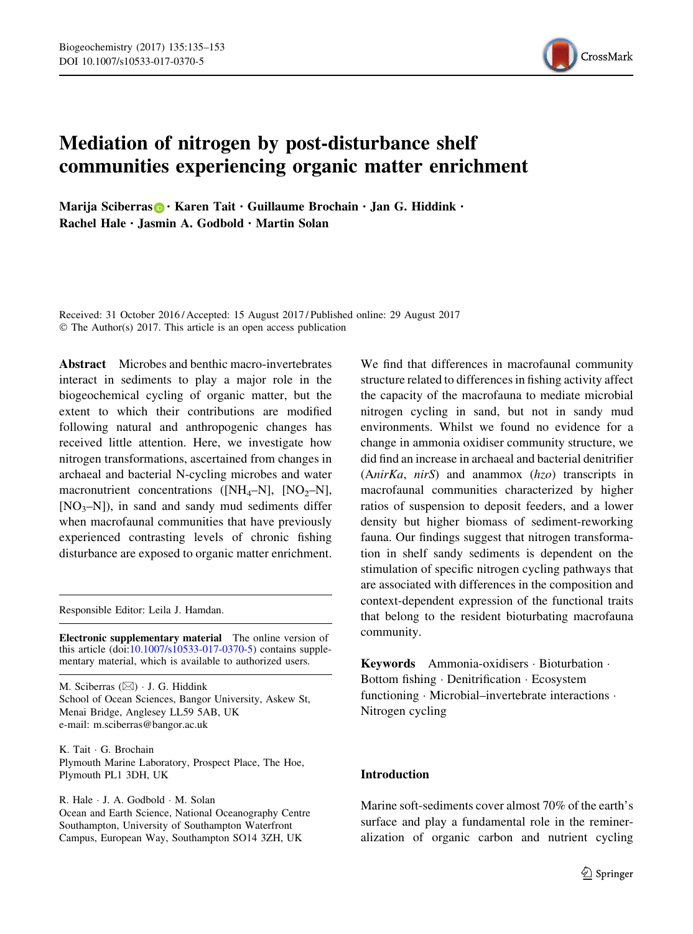

# Mediation of nitrogen by post-disturbance shelf communities experiencing organic matter enrichment

Marija Sciberras **D** · Karen Tait · Guillaume Brochain · Jan G. Hiddink · Rachel Hale . Jasmin A. Godbold . Martin Solan

Received: 31 October 2016 / Accepted: 15 August 2017 / Published online: 29 August 2017 © The Author(s) 2017. This article is an open access publication

Abstract Microbes and benthic macro-invertebrates interact in sediments to play a major role in the biogeochemical cycling of organic matter, but the extent to which their contributions are modified following natural and anthropogenic changes has received little attention. Here, we investigate how nitrogen transformations, ascertained from changes in archaeal and bacterial N-cycling microbes and water macronutrient concentrations ( $[NH_4-N]$ ,  $[NO_2-N]$ ,  $[NO<sub>3</sub>–N]$ ), in sand and sandy mud sediments differ when macrofaunal communities that have previously experienced contrasting levels of chronic fishing disturbance are exposed to organic matter enrichment.

Responsible Editor: Leila J. Hamdan.

Electronic supplementary material The online version of this article (doi[:10.1007/s10533-017-0370-5\)](http://dx.doi.org/10.1007/s10533-017-0370-5) contains supplementary material, which is available to authorized users.

M. Sciberras (⊠) · J. G. Hiddink School of Ocean Sciences, Bangor University, Askew St, Menai Bridge, Anglesey LL59 5AB, UK e-mail: m.sciberras@bangor.ac.uk

K. Tait - G. Brochain Plymouth Marine Laboratory, Prospect Place, The Hoe, Plymouth PL1 3DH, UK

R. Hale - J. A. Godbold - M. Solan Ocean and Earth Science, National Oceanography Centre Southampton, University of Southampton Waterfront Campus, European Way, Southampton SO14 3ZH, UK

We find that differences in macrofaunal community structure related to differences in fishing activity affect the capacity of the macrofauna to mediate microbial nitrogen cycling in sand, but not in sandy mud environments. Whilst we found no evidence for a change in ammonia oxidiser community structure, we did find an increase in archaeal and bacterial denitrifier (AnirKa, nirS) and anammox (hzo) transcripts in macrofaunal communities characterized by higher ratios of suspension to deposit feeders, and a lower density but higher biomass of sediment-reworking fauna. Our findings suggest that nitrogen transformation in shelf sandy sediments is dependent on the stimulation of specific nitrogen cycling pathways that are associated with differences in the composition and context-dependent expression of the functional traits that belong to the resident bioturbating macrofauna community.

Keywords Ammonia-oxidisers - Bioturbation - Bottom fishing - Denitrification - Ecosystem functioning - Microbial–invertebrate interactions - Nitrogen cycling

# Introduction

Marine soft-sediments cover almost 70% of the earth's surface and play a fundamental role in the remineralization of organic carbon and nutrient cycling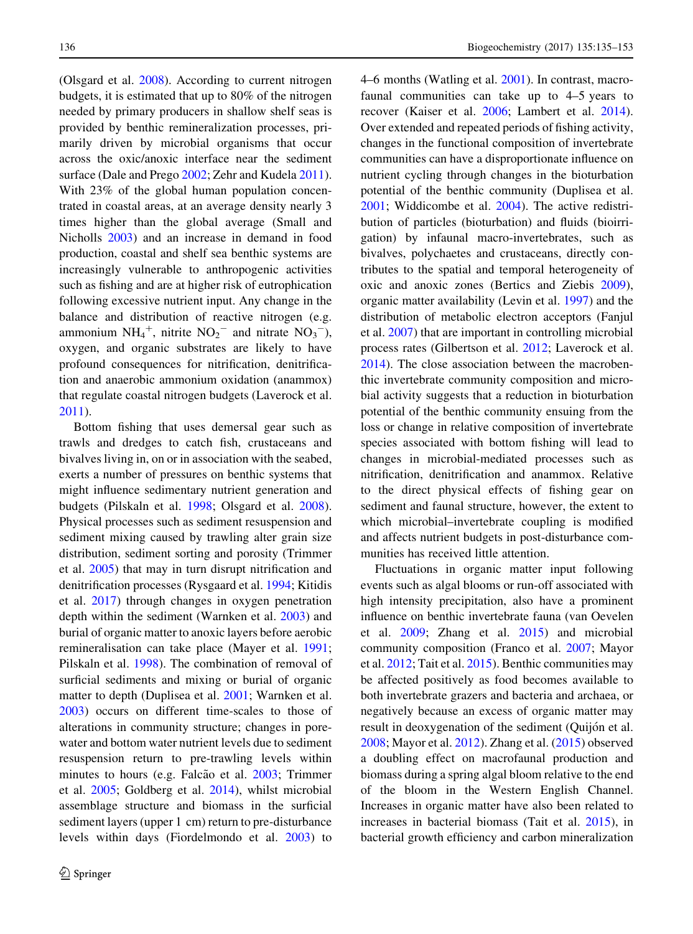(Olsgard et al. [2008\)](#page-17-0). According to current nitrogen budgets, it is estimated that up to 80% of the nitrogen needed by primary producers in shallow shelf seas is provided by benthic remineralization processes, primarily driven by microbial organisms that occur across the oxic/anoxic interface near the sediment surface (Dale and Prego [2002;](#page-16-0) Zehr and Kudela [2011](#page-18-0)). With 23% of the global human population concentrated in coastal areas, at an average density nearly 3 times higher than the global average (Small and Nicholls [2003](#page-17-0)) and an increase in demand in food production, coastal and shelf sea benthic systems are increasingly vulnerable to anthropogenic activities such as fishing and are at higher risk of eutrophication following excessive nutrient input. Any change in the balance and distribution of reactive nitrogen (e.g. ammonium  $NH_4^+$ , nitrite  $NO_2^-$  and nitrate  $NO_3^-$ ), oxygen, and organic substrates are likely to have profound consequences for nitrification, denitrification and anaerobic ammonium oxidation (anammox) that regulate coastal nitrogen budgets (Laverock et al. [2011\)](#page-17-0).

Bottom fishing that uses demersal gear such as trawls and dredges to catch fish, crustaceans and bivalves living in, on or in association with the seabed, exerts a number of pressures on benthic systems that might influence sedimentary nutrient generation and budgets (Pilskaln et al. [1998;](#page-17-0) Olsgard et al. [2008](#page-17-0)). Physical processes such as sediment resuspension and sediment mixing caused by trawling alter grain size distribution, sediment sorting and porosity (Trimmer et al. [2005](#page-17-0)) that may in turn disrupt nitrification and denitrification processes (Rysgaard et al. [1994](#page-17-0); Kitidis et al. [2017](#page-17-0)) through changes in oxygen penetration depth within the sediment (Warnken et al. [2003](#page-18-0)) and burial of organic matter to anoxic layers before aerobic remineralisation can take place (Mayer et al. [1991](#page-17-0); Pilskaln et al. [1998](#page-17-0)). The combination of removal of surficial sediments and mixing or burial of organic matter to depth (Duplisea et al. [2001;](#page-16-0) Warnken et al. [2003\)](#page-18-0) occurs on different time-scales to those of alterations in community structure; changes in porewater and bottom water nutrient levels due to sediment resuspension return to pre-trawling levels within minutes to hours (e.g. Falcão et al. [2003;](#page-16-0) Trimmer et al. [2005;](#page-17-0) Goldberg et al. [2014](#page-16-0)), whilst microbial assemblage structure and biomass in the surficial sediment layers (upper 1 cm) return to pre-disturbance levels within days (Fiordelmondo et al. [2003](#page-16-0)) to

4–6 months (Watling et al. [2001\)](#page-18-0). In contrast, macrofaunal communities can take up to 4–5 years to recover (Kaiser et al. [2006](#page-17-0); Lambert et al. [2014](#page-17-0)). Over extended and repeated periods of fishing activity, changes in the functional composition of invertebrate communities can have a disproportionate influence on nutrient cycling through changes in the bioturbation potential of the benthic community (Duplisea et al. [2001;](#page-16-0) Widdicombe et al. [2004\)](#page-18-0). The active redistribution of particles (bioturbation) and fluids (bioirrigation) by infaunal macro-invertebrates, such as bivalves, polychaetes and crustaceans, directly contributes to the spatial and temporal heterogeneity of oxic and anoxic zones (Bertics and Ziebis [2009](#page-16-0)), organic matter availability (Levin et al. [1997](#page-17-0)) and the distribution of metabolic electron acceptors (Fanjul et al. [2007\)](#page-16-0) that are important in controlling microbial process rates (Gilbertson et al. [2012;](#page-16-0) Laverock et al. [2014\)](#page-17-0). The close association between the macrobenthic invertebrate community composition and microbial activity suggests that a reduction in bioturbation potential of the benthic community ensuing from the loss or change in relative composition of invertebrate species associated with bottom fishing will lead to changes in microbial-mediated processes such as nitrification, denitrification and anammox. Relative to the direct physical effects of fishing gear on sediment and faunal structure, however, the extent to which microbial–invertebrate coupling is modified and affects nutrient budgets in post-disturbance communities has received little attention.

Fluctuations in organic matter input following events such as algal blooms or run-off associated with high intensity precipitation, also have a prominent influence on benthic invertebrate fauna (van Oevelen et al. [2009](#page-17-0); Zhang et al. [2015\)](#page-18-0) and microbial community composition (Franco et al. [2007](#page-16-0); Mayor et al. [2012;](#page-17-0) Tait et al. [2015\)](#page-17-0). Benthic communities may be affected positively as food becomes available to both invertebrate grazers and bacteria and archaea, or negatively because an excess of organic matter may result in deoxygenation of the sediment (Quijón et al. [2008;](#page-17-0) Mayor et al. [2012](#page-17-0)). Zhang et al. ([2015\)](#page-18-0) observed a doubling effect on macrofaunal production and biomass during a spring algal bloom relative to the end of the bloom in the Western English Channel. Increases in organic matter have also been related to increases in bacterial biomass (Tait et al. [2015\)](#page-17-0), in bacterial growth efficiency and carbon mineralization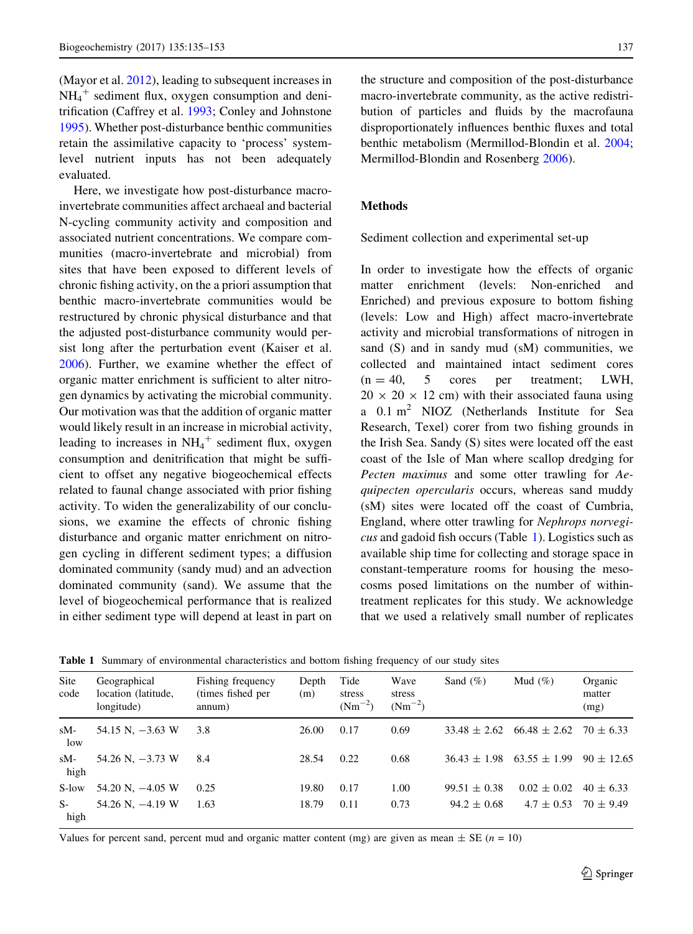<span id="page-2-0"></span>(Mayor et al. [2012\)](#page-17-0), leading to subsequent increases in  $NH_4^+$  sediment flux, oxygen consumption and denitrification (Caffrey et al. [1993;](#page-16-0) Conley and Johnstone [1995\)](#page-16-0). Whether post-disturbance benthic communities retain the assimilative capacity to 'process' systemlevel nutrient inputs has not been adequately evaluated.

Here, we investigate how post-disturbance macroinvertebrate communities affect archaeal and bacterial N-cycling community activity and composition and associated nutrient concentrations. We compare communities (macro-invertebrate and microbial) from sites that have been exposed to different levels of chronic fishing activity, on the a priori assumption that benthic macro-invertebrate communities would be restructured by chronic physical disturbance and that the adjusted post-disturbance community would persist long after the perturbation event (Kaiser et al. [2006\)](#page-17-0). Further, we examine whether the effect of organic matter enrichment is sufficient to alter nitrogen dynamics by activating the microbial community. Our motivation was that the addition of organic matter would likely result in an increase in microbial activity, leading to increases in  $NH_4^+$  sediment flux, oxygen consumption and denitrification that might be sufficient to offset any negative biogeochemical effects related to faunal change associated with prior fishing activity. To widen the generalizability of our conclusions, we examine the effects of chronic fishing disturbance and organic matter enrichment on nitrogen cycling in different sediment types; a diffusion dominated community (sandy mud) and an advection dominated community (sand). We assume that the level of biogeochemical performance that is realized in either sediment type will depend at least in part on the structure and composition of the post-disturbance macro-invertebrate community, as the active redistribution of particles and fluids by the macrofauna disproportionately influences benthic fluxes and total benthic metabolism (Mermillod-Blondin et al. [2004](#page-17-0); Mermillod-Blondin and Rosenberg [2006\)](#page-17-0).

#### Methods

Sediment collection and experimental set-up

In order to investigate how the effects of organic matter enrichment (levels: Non-enriched and Enriched) and previous exposure to bottom fishing (levels: Low and High) affect macro-invertebrate activity and microbial transformations of nitrogen in sand (S) and in sandy mud (sM) communities, we collected and maintained intact sediment cores  $(n = 40, 5$  cores per treatment: LWH,  $20 \times 20 \times 12$  cm) with their associated fauna using a 0.1 m2 NIOZ (Netherlands Institute for Sea Research, Texel) corer from two fishing grounds in the Irish Sea. Sandy (S) sites were located off the east coast of the Isle of Man where scallop dredging for Pecten maximus and some otter trawling for Aequipecten opercularis occurs, whereas sand muddy (sM) sites were located off the coast of Cumbria, England, where otter trawling for Nephrops norvegicus and gadoid fish occurs (Table 1). Logistics such as available ship time for collecting and storage space in constant-temperature rooms for housing the mesocosms posed limitations on the number of withintreatment replicates for this study. We acknowledge that we used a relatively small number of replicates

| Site<br>code  | Geographical<br>location (latitude,<br>longitude) | Fishing frequency<br>(times fished per<br>annum) | Depth<br>(m) | Tide<br>stress<br>$(Nm^{-2})$ | Wave<br>stress<br>$(Nm^{-2})$ | Sand $(\%)$      | Mud $(\%)$       | Organic<br>matter<br>(mg) |
|---------------|---------------------------------------------------|--------------------------------------------------|--------------|-------------------------------|-------------------------------|------------------|------------------|---------------------------|
| $sM-$<br>low  | 54.15 N, $-3.63$ W                                | 3.8                                              | 26.00        | 0.17                          | 0.69                          | $33.48 \pm 2.62$ | $66.48 \pm 2.62$ | $70 \pm 6.33$             |
| $sM-$<br>high | 54.26 N, $-3.73$ W                                | 8.4                                              | 28.54        | 0.22                          | 0.68                          | $36.43 + 1.98$   | $63.55 \pm 1.99$ | $90 \pm 12.65$            |
| S-low         | 54.20 N, $-4.05$ W                                | 0.25                                             | 19.80        | 0.17                          | 1.00                          | $99.51 \pm 0.38$ | $0.02 \pm 0.02$  | $40 \pm 6.33$             |
| $S-$<br>high  | 54.26 N, $-4.19$ W                                | 1.63                                             | 18.79        | 0.11                          | 0.73                          | $94.2 \pm 0.68$  | $4.7 \pm 0.53$   | $70 \pm 9.49$             |

Table 1 Summary of environmental characteristics and bottom fishing frequency of our study sites

Values for percent sand, percent mud and organic matter content (mg) are given as mean  $\pm$  SE (n = 10)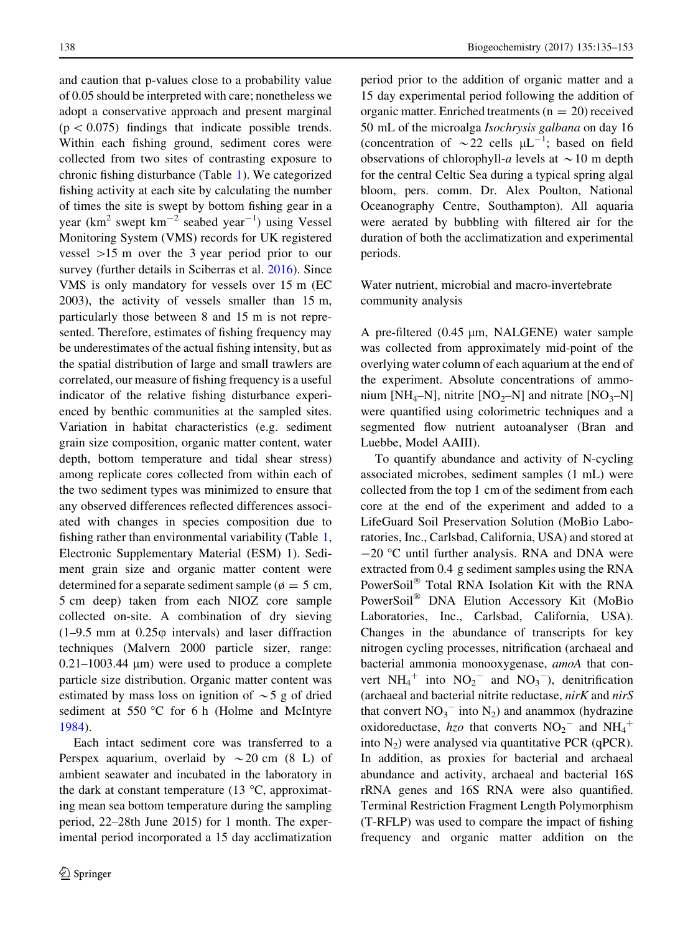and caution that p-values close to a probability value of 0.05 should be interpreted with care; nonetheless we adopt a conservative approach and present marginal  $(p < 0.075)$  findings that indicate possible trends. Within each fishing ground, sediment cores were collected from two sites of contrasting exposure to chronic fishing disturbance (Table [1\)](#page-2-0). We categorized fishing activity at each site by calculating the number of times the site is swept by bottom fishing gear in a year ( $km^2$  swept  $km^{-2}$  seabed year<sup>-1</sup>) using Vessel Monitoring System (VMS) records for UK registered vessel  $>15$  m over the 3 year period prior to our survey (further details in Sciberras et al. [2016](#page-17-0)). Since VMS is only mandatory for vessels over 15 m (EC 2003), the activity of vessels smaller than 15 m, particularly those between 8 and 15 m is not represented. Therefore, estimates of fishing frequency may be underestimates of the actual fishing intensity, but as the spatial distribution of large and small trawlers are correlated, our measure of fishing frequency is a useful indicator of the relative fishing disturbance experienced by benthic communities at the sampled sites. Variation in habitat characteristics (e.g. sediment grain size composition, organic matter content, water depth, bottom temperature and tidal shear stress) among replicate cores collected from within each of the two sediment types was minimized to ensure that any observed differences reflected differences associated with changes in species composition due to fishing rather than environmental variability (Table [1,](#page-2-0) Electronic Supplementary Material (ESM) 1). Sediment grain size and organic matter content were determined for a separate sediment sample ( $\phi = 5$  cm, 5 cm deep) taken from each NIOZ core sample collected on-site. A combination of dry sieving  $(1-9.5 \text{ mm at } 0.25\varphi \text{ intervals})$  and laser diffraction techniques (Malvern 2000 particle sizer, range:  $0.21-1003.44 \mu m$ ) were used to produce a complete particle size distribution. Organic matter content was estimated by mass loss on ignition of  $\sim$  5 g of dried sediment at 550 °C for 6 h (Holme and McIntyre [1984\)](#page-16-0).

Each intact sediment core was transferred to a Perspex aquarium, overlaid by  $\sim 20$  cm (8 L) of ambient seawater and incubated in the laboratory in the dark at constant temperature (13  $^{\circ}$ C, approximating mean sea bottom temperature during the sampling period, 22–28th June 2015) for 1 month. The experimental period incorporated a 15 day acclimatization period prior to the addition of organic matter and a 15 day experimental period following the addition of organic matter. Enriched treatments ( $n = 20$ ) received 50 mL of the microalga Isochrysis galbana on day 16 (concentration of  $\sim$  22 cells  $\mu L^{-1}$ ; based on field observations of chlorophyll-a levels at  $\sim$  10 m depth for the central Celtic Sea during a typical spring algal bloom, pers. comm. Dr. Alex Poulton, National Oceanography Centre, Southampton). All aquaria were aerated by bubbling with filtered air for the duration of both the acclimatization and experimental periods.

Water nutrient, microbial and macro-invertebrate community analysis

A pre-filtered  $(0.45 \mu m, NALGENE)$  water sample was collected from approximately mid-point of the overlying water column of each aquarium at the end of the experiment. Absolute concentrations of ammonium [NH<sub>4</sub>–N], nitrite [NO<sub>2</sub>–N] and nitrate [NO<sub>3</sub>–N] were quantified using colorimetric techniques and a segmented flow nutrient autoanalyser (Bran and Luebbe, Model AAIII).

To quantify abundance and activity of N-cycling associated microbes, sediment samples (1 mL) were collected from the top 1 cm of the sediment from each core at the end of the experiment and added to a LifeGuard Soil Preservation Solution (MoBio Laboratories, Inc., Carlsbad, California, USA) and stored at  $-20$  °C until further analysis. RNA and DNA were extracted from 0.4 g sediment samples using the RNA PowerSoil® Total RNA Isolation Kit with the RNA PowerSoil<sup>®</sup> DNA Elution Accessory Kit (MoBio Laboratories, Inc., Carlsbad, California, USA). Changes in the abundance of transcripts for key nitrogen cycling processes, nitrification (archaeal and bacterial ammonia monooxygenase, amoA that convert  $NH_4^+$  into  $NO_2^-$  and  $NO_3^-$ ), denitrification (archaeal and bacterial nitrite reductase,  $nirK$  and  $nirS$ that convert  $NO_3$ <sup>-</sup> into  $N_2$ ) and anammox (hydrazine oxidoreductase, hzo that converts  $NO_2$ <sup>-</sup> and  $NH_4$ <sup>+</sup> into  $N_2$ ) were analysed via quantitative PCR (qPCR). In addition, as proxies for bacterial and archaeal abundance and activity, archaeal and bacterial 16S rRNA genes and 16S RNA were also quantified. Terminal Restriction Fragment Length Polymorphism (T-RFLP) was used to compare the impact of fishing frequency and organic matter addition on the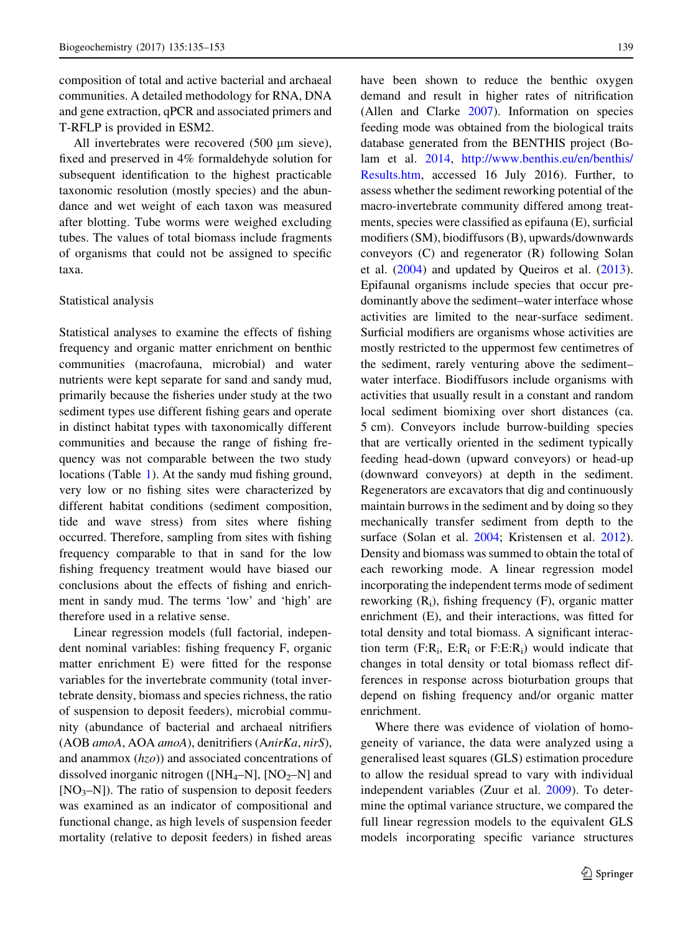composition of total and active bacterial and archaeal communities. A detailed methodology for RNA, DNA and gene extraction, qPCR and associated primers and T-RFLP is provided in ESM2.

All invertebrates were recovered (500 µm sieve), fixed and preserved in 4% formaldehyde solution for subsequent identification to the highest practicable taxonomic resolution (mostly species) and the abundance and wet weight of each taxon was measured after blotting. Tube worms were weighed excluding tubes. The values of total biomass include fragments of organisms that could not be assigned to specific taxa.

#### Statistical analysis

Statistical analyses to examine the effects of fishing frequency and organic matter enrichment on benthic communities (macrofauna, microbial) and water nutrients were kept separate for sand and sandy mud, primarily because the fisheries under study at the two sediment types use different fishing gears and operate in distinct habitat types with taxonomically different communities and because the range of fishing frequency was not comparable between the two study locations (Table [1\)](#page-2-0). At the sandy mud fishing ground, very low or no fishing sites were characterized by different habitat conditions (sediment composition, tide and wave stress) from sites where fishing occurred. Therefore, sampling from sites with fishing frequency comparable to that in sand for the low fishing frequency treatment would have biased our conclusions about the effects of fishing and enrichment in sandy mud. The terms 'low' and 'high' are therefore used in a relative sense.

Linear regression models (full factorial, independent nominal variables: fishing frequency F, organic matter enrichment E) were fitted for the response variables for the invertebrate community (total invertebrate density, biomass and species richness, the ratio of suspension to deposit feeders), microbial community (abundance of bacterial and archaeal nitrifiers (AOB amoA, AOA amoA), denitrifiers (AnirKa, nirS), and anammox  $(hzo)$ ) and associated concentrations of dissolved inorganic nitrogen ( $[NH_4-N]$ ,  $[NO_2-N]$  and  $[NO<sub>3</sub>–N]$ ). The ratio of suspension to deposit feeders was examined as an indicator of compositional and functional change, as high levels of suspension feeder mortality (relative to deposit feeders) in fished areas

have been shown to reduce the benthic oxygen demand and result in higher rates of nitrification (Allen and Clarke [2007\)](#page-16-0). Information on species feeding mode was obtained from the biological traits database generated from the BENTHIS project (Bolam et al. [2014,](#page-16-0) [http://www.benthis.eu/en/benthis/](http://www.benthis.eu/en/benthis/Results.htm) [Results.htm](http://www.benthis.eu/en/benthis/Results.htm), accessed 16 July 2016). Further, to assess whether the sediment reworking potential of the macro-invertebrate community differed among treatments, species were classified as epifauna (E), surficial modifiers (SM), biodiffusors (B), upwards/downwards conveyors (C) and regenerator (R) following Solan et al. ([2004\)](#page-17-0) and updated by Queiros et al. ([2013](#page-17-0)). Epifaunal organisms include species that occur predominantly above the sediment–water interface whose activities are limited to the near-surface sediment. Surficial modifiers are organisms whose activities are mostly restricted to the uppermost few centimetres of the sediment, rarely venturing above the sediment– water interface. Biodiffusors include organisms with activities that usually result in a constant and random local sediment biomixing over short distances (ca. 5 cm). Conveyors include burrow-building species that are vertically oriented in the sediment typically feeding head-down (upward conveyors) or head-up (downward conveyors) at depth in the sediment. Regenerators are excavators that dig and continuously maintain burrows in the sediment and by doing so they mechanically transfer sediment from depth to the surface (Solan et al. [2004](#page-17-0); Kristensen et al. [2012](#page-17-0)). Density and biomass was summed to obtain the total of each reworking mode. A linear regression model incorporating the independent terms mode of sediment reworking  $(R_i)$ , fishing frequency  $(F)$ , organic matter enrichment (E), and their interactions, was fitted for total density and total biomass. A significant interaction term  $(F:R_i, E:R_i)$  or  $F: E:R_i)$  would indicate that changes in total density or total biomass reflect differences in response across bioturbation groups that depend on fishing frequency and/or organic matter enrichment.

Where there was evidence of violation of homogeneity of variance, the data were analyzed using a generalised least squares (GLS) estimation procedure to allow the residual spread to vary with individual independent variables (Zuur et al. [2009\)](#page-18-0). To determine the optimal variance structure, we compared the full linear regression models to the equivalent GLS models incorporating specific variance structures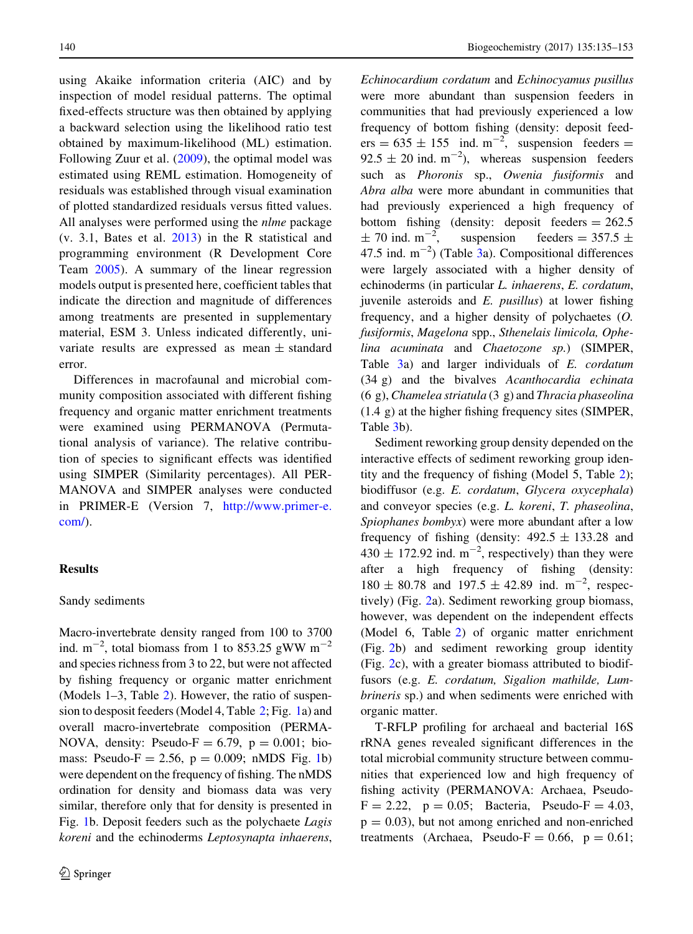using Akaike information criteria (AIC) and by inspection of model residual patterns. The optimal fixed-effects structure was then obtained by applying a backward selection using the likelihood ratio test obtained by maximum-likelihood (ML) estimation. Following Zuur et al. [\(2009](#page-18-0)), the optimal model was estimated using REML estimation. Homogeneity of residuals was established through visual examination of plotted standardized residuals versus fitted values. All analyses were performed using the nlme package (v. 3.1, Bates et al. [2013\)](#page-16-0) in the R statistical and programming environment (R Development Core Team [2005](#page-17-0)). A summary of the linear regression models output is presented here, coefficient tables that indicate the direction and magnitude of differences among treatments are presented in supplementary material, ESM 3. Unless indicated differently, univariate results are expressed as mean  $\pm$  standard error.

Differences in macrofaunal and microbial community composition associated with different fishing frequency and organic matter enrichment treatments were examined using PERMANOVA (Permutational analysis of variance). The relative contribution of species to significant effects was identified using SIMPER (Similarity percentages). All PER-MANOVA and SIMPER analyses were conducted in PRIMER-E (Version 7, [http://www.primer-e.](http://www.primer-e.com/) [com/](http://www.primer-e.com/)).

### Results

#### Sandy sediments

Macro-invertebrate density ranged from 100 to 3700 ind.  $m^{-2}$ , total biomass from 1 to 853.25 gWW  $m^{-2}$ and species richness from 3 to 22, but were not affected by fishing frequency or organic matter enrichment (Models 1–3, Table [2\)](#page-6-0). However, the ratio of suspension to desposit feeders (Model 4, Table [2;](#page-6-0) Fig. [1](#page-7-0)a) and overall macro-invertebrate composition (PERMA-NOVA, density: Pseudo- $F = 6.79$ ,  $p = 0.001$ ; biomass: Pseudo-F = 2.56,  $p = 0.009$ ; nMDS Fig. [1b](#page-7-0)) were dependent on the frequency of fishing. The nMDS ordination for density and biomass data was very similar, therefore only that for density is presented in Fig. [1b](#page-7-0). Deposit feeders such as the polychaete Lagis koreni and the echinoderms Leptosynapta inhaerens, Echinocardium cordatum and Echinocyamus pusillus were more abundant than suspension feeders in communities that had previously experienced a low frequency of bottom fishing (density: deposit feed $ers = 635 \pm 155$  ind.  $m^{-2}$ , suspension feeders =  $92.5 \pm 20$  ind. m<sup>-2</sup>), whereas suspension feeders such as Phoronis sp., Owenia fusiformis and Abra alba were more abundant in communities that had previously experienced a high frequency of bottom fishing (density: deposit feeders  $= 262.5$  $\pm$  70 ind. m<sup>-2</sup>, suspension feeders =  $357.5 \pm$ 47.5 ind.  $m^{-2}$ ) (Table [3](#page-8-0)a). Compositional differences were largely associated with a higher density of echinoderms (in particular L. inhaerens, E. cordatum, juvenile asteroids and E. pusillus) at lower fishing frequency, and a higher density of polychaetes (O. fusiformis, Magelona spp., Sthenelais limicola, Ophelina acuminata and Chaetozone sp.) (SIMPER, Table [3a](#page-8-0)) and larger individuals of E. cordatum (34 g) and the bivalves Acanthocardia echinata  $(6 \text{ g})$ , Chamelea striatula  $(3 \text{ g})$  and Thracia phaseolina (1.4 g) at the higher fishing frequency sites (SIMPER, Table [3](#page-8-0)b).

Sediment reworking group density depended on the interactive effects of sediment reworking group identity and the frequency of fishing (Model 5, Table [2](#page-6-0)); biodiffusor (e.g. E. cordatum, Glycera oxycephala) and conveyor species (e.g. L. koreni, T. phaseolina, Spiophanes bombyx) were more abundant after a low frequency of fishing (density:  $492.5 \pm 133.28$  and  $430 \pm 172.92$  ind. m<sup>-2</sup>, respectively) than they were after a high frequency of fishing (density:  $180 \pm 80.78$  and  $197.5 \pm 42.89$  ind. m<sup>-2</sup>, respectively) (Fig. [2](#page-11-0)a). Sediment reworking group biomass, however, was dependent on the independent effects (Model 6, Table [2\)](#page-6-0) of organic matter enrichment (Fig. [2](#page-11-0)b) and sediment reworking group identity (Fig. [2](#page-11-0)c), with a greater biomass attributed to biodiffusors (e.g. E. cordatum, Sigalion mathilde, Lumbrineris sp.) and when sediments were enriched with organic matter.

T-RFLP profiling for archaeal and bacterial 16S rRNA genes revealed significant differences in the total microbial community structure between communities that experienced low and high frequency of fishing activity (PERMANOVA: Archaea, Pseudo- $F = 2.22$ ,  $p = 0.05$ ; Bacteria, Pseudo-F = 4.03,  $p = 0.03$ ), but not among enriched and non-enriched treatments (Archaea, Pseudo-F =  $0.66$ , p =  $0.61$ ;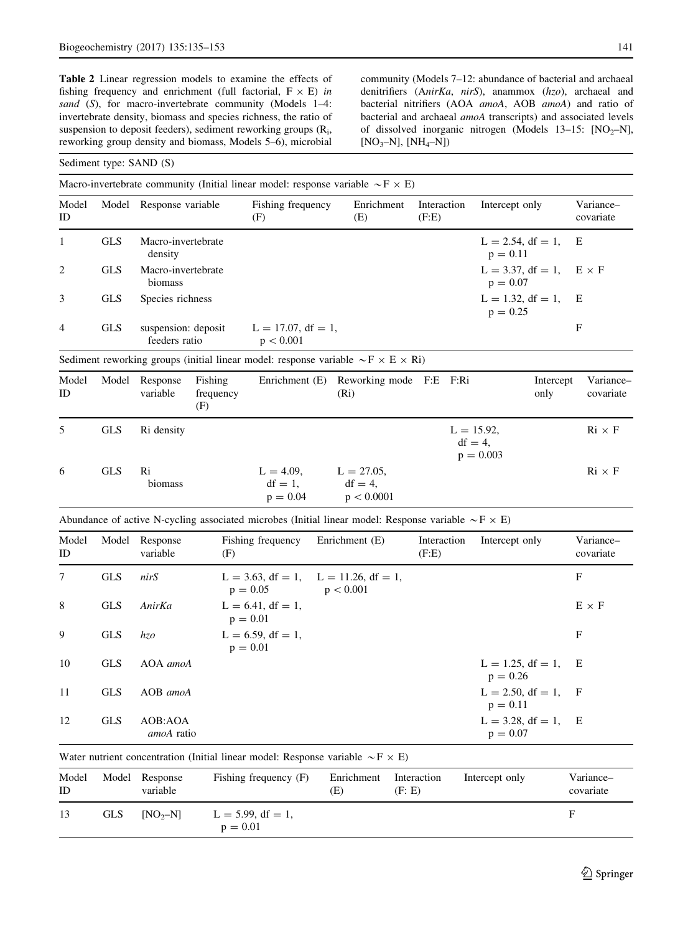<span id="page-6-0"></span>Table 2 Linear regression models to examine the effects of fishing frequency and enrichment (full factorial,  $F \times E$ ) in sand (S), for macro-invertebrate community (Models 1-4: invertebrate density, biomass and species richness, the ratio of suspension to deposit feeders), sediment reworking groups (R<sub>i</sub>, reworking group density and biomass, Models 5–6), microbial

community (Models 7–12: abundance of bacterial and archaeal denitrifiers (AnirKa, nirS), anammox (hzo), archaeal and bacterial nitrifiers (AOA amoA, AOB amoA) and ratio of bacterial and archaeal amoA transcripts) and associated levels of dissolved inorganic nitrogen (Models  $13-15$ : [NO<sub>2</sub>–N],  $[NO<sub>3</sub>-N], [NH<sub>4</sub>-N])$ 

#### Sediment type: SAND (S)

|                |            | Macro-invertebrate community (Initial linear model: response variable $\sim$ F $\times$ E)                      |                             |                                          |     |                                           |        |                      |                             |                                    |                   |                               |
|----------------|------------|-----------------------------------------------------------------------------------------------------------------|-----------------------------|------------------------------------------|-----|-------------------------------------------|--------|----------------------|-----------------------------|------------------------------------|-------------------|-------------------------------|
| Model<br>ID    | Model      | Response variable                                                                                               |                             | Fishing frequency<br>(F)                 |     | Enrichment<br>(E)                         |        | Interaction<br>(F.E) |                             | Intercept only                     |                   | Variance-<br>covariate        |
| 1              | <b>GLS</b> | Macro-invertebrate<br>density                                                                                   |                             |                                          |     |                                           |        |                      |                             | $L = 2.54$ , df = 1,<br>$p = 0.11$ |                   | E                             |
| $\overline{2}$ | <b>GLS</b> | Macro-invertebrate<br>biomass                                                                                   |                             |                                          |     |                                           |        |                      |                             | $L = 3.37$ , df = 1,<br>$p = 0.07$ |                   | $E \times F$                  |
| 3              | <b>GLS</b> | Species richness                                                                                                |                             |                                          |     |                                           |        |                      |                             | $L = 1.32$ , df = 1,<br>$p = 0.25$ |                   | Ε                             |
| 4              | <b>GLS</b> | suspension: deposit<br>feeders ratio                                                                            |                             | $L = 17.07$ , df = 1,<br>p < 0.001       |     |                                           |        |                      |                             |                                    |                   | F                             |
|                |            | Sediment reworking groups (initial linear model: response variable $\sim$ F $\times$ E $\times$ Ri)             |                             |                                          |     |                                           |        |                      |                             |                                    |                   |                               |
| Model<br>ID    | Model      | Response<br>variable                                                                                            | Fishing<br>frequency<br>(F) | Enrichment (E)                           |     | Reworking mode F:E F:Ri<br>(Ri)           |        |                      |                             |                                    | Intercept<br>only | Variance-<br>covariate        |
| 5              | <b>GLS</b> | Ri density                                                                                                      |                             |                                          |     |                                           |        |                      | $L = 15.92$ ,<br>$df = 4$ . | $p = 0.003$                        |                   | $\mathrm{Ri}\times\mathrm{F}$ |
| 6              | <b>GLS</b> | Ri<br>biomass                                                                                                   |                             | $L = 4.09$ ,<br>$df = 1$ ,<br>$p = 0.04$ |     | $L = 27.05$ ,<br>$df = 4$ ,<br>p < 0.0001 |        |                      |                             |                                    |                   | $\mathrm{Ri}\times\mathrm{F}$ |
|                |            | Abundance of active N-cycling associated microbes (Initial linear model: Response variable $\sim$ F $\times$ E) |                             |                                          |     |                                           |        |                      |                             |                                    |                   |                               |
| Model<br>ID    | Model      | Response<br>variable                                                                                            | (F)                         | Fishing frequency                        |     | Enrichment (E)                            |        | Interaction<br>(F.E) |                             | Intercept only                     |                   | Variance-<br>covariate        |
| 7              | <b>GLS</b> | nirS                                                                                                            |                             | $L = 3.63$ , df = 1,<br>$p = 0.05$       |     | $L = 11.26$ , df = 1,<br>p < 0.001        |        |                      |                             |                                    |                   | $\mathbf F$                   |
| 8              | <b>GLS</b> | AnirKa                                                                                                          |                             | $L = 6.41$ , df = 1,<br>$p = 0.01$       |     |                                           |        |                      |                             |                                    |                   | $E \times F$                  |
| 9              | <b>GLS</b> | hzo                                                                                                             |                             | $L = 6.59$ , df = 1,<br>$p = 0.01$       |     |                                           |        |                      |                             |                                    |                   | F                             |
| 10             | <b>GLS</b> | AOA amoA                                                                                                        |                             |                                          |     |                                           |        |                      |                             | $L = 1.25$ , df = 1,<br>$p = 0.26$ |                   | Ε                             |
| 11             | <b>GLS</b> | AOB amoA                                                                                                        |                             |                                          |     |                                           |        |                      |                             | $L = 2.50$ , df = 1,<br>$p = 0.11$ |                   | F                             |
| 12             | <b>GLS</b> | AOB:AOA<br>amoA ratio                                                                                           |                             |                                          |     |                                           |        |                      |                             | $L = 3.28$ , df = 1,<br>$p = 0.07$ |                   | Ε                             |
|                |            | Water nutrient concentration (Initial linear model: Response variable $\sim$ F $\times$ E)                      |                             |                                          |     |                                           |        |                      |                             |                                    |                   |                               |
| Model<br>ID    | Model      | Response<br>variable                                                                                            |                             | Fishing frequency (F)                    | (E) | Enrichment                                | (F: E) | Interaction          |                             | Intercept only                     |                   | Variance-<br>covariate        |
| 13             | <b>GLS</b> | $[NO2-N]$                                                                                                       |                             | $L = 5.99$ , df = 1,                     |     |                                           |        |                      |                             |                                    |                   | $\mathbf{F}$                  |

 $p = 0.01$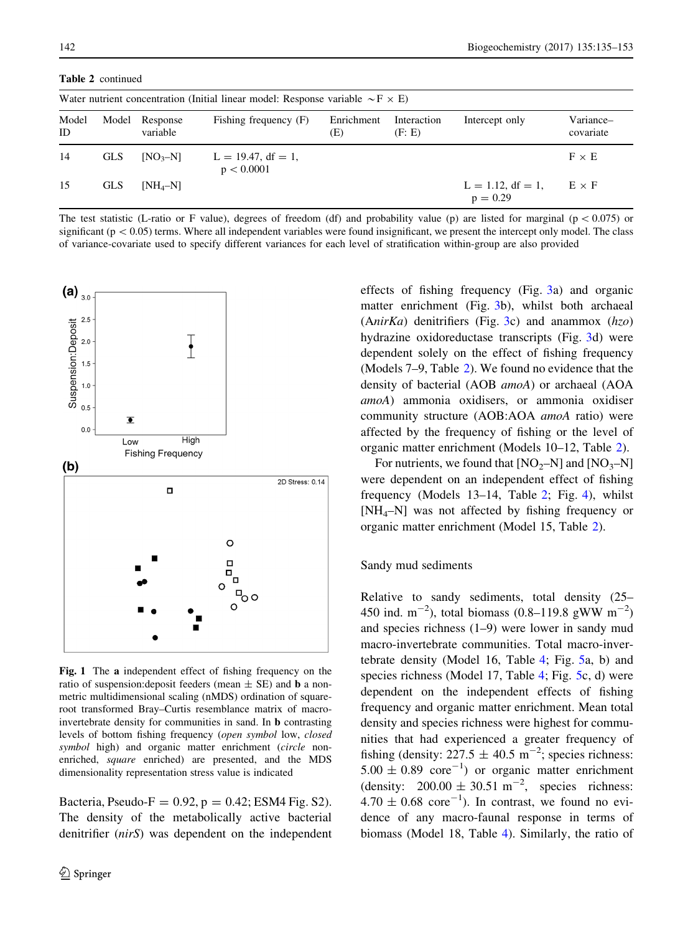<span id="page-7-0"></span>Table 2 continued

|             | Water nutrient concentration (Initial linear model: Response variable $\sim$ F $\times$ E) |                      |                                     |                   |                       |                                    |                        |  |  |  |  |
|-------------|--------------------------------------------------------------------------------------------|----------------------|-------------------------------------|-------------------|-----------------------|------------------------------------|------------------------|--|--|--|--|
| Model<br>ID | Model                                                                                      | Response<br>variable | Fishing frequency (F)               | Enrichment<br>(E) | Interaction<br>(F: E) | Intercept only                     | Variance-<br>covariate |  |  |  |  |
| 14          | <b>GLS</b>                                                                                 | $[NO3-N]$            | $L = 19.47$ , df = 1,<br>p < 0.0001 |                   |                       |                                    | $F \times E$           |  |  |  |  |
| 15          | <b>GLS</b>                                                                                 | $[NH_4-N]$           |                                     |                   |                       | $L = 1.12$ , df = 1,<br>$p = 0.29$ | $E \times F$           |  |  |  |  |

The test statistic (L-ratio or F value), degrees of freedom (df) and probability value (p) are listed for marginal ( $p < 0.075$ ) or significant ( $p\lt 0.05$ ) terms. Where all independent variables were found insignificant, we present the intercept only model. The class of variance-covariate used to specify different variances for each level of stratification within-group are also provided



Fig. 1 The a independent effect of fishing frequency on the ratio of suspension: deposit feeders (mean  $\pm$  SE) and **b** a nonmetric multidimensional scaling (nMDS) ordination of squareroot transformed Bray–Curtis resemblance matrix of macroinvertebrate density for communities in sand. In b contrasting levels of bottom fishing frequency (open symbol low, closed symbol high) and organic matter enrichment (circle nonenriched, square enriched) are presented, and the MDS dimensionality representation stress value is indicated

Bacteria, Pseudo-F =  $0.92$ , p =  $0.42$ ; ESM4 Fig. S2). The density of the metabolically active bacterial denitrifier (nirS) was dependent on the independent effects of fishing frequency (Fig. [3a](#page-11-0)) and organic matter enrichment (Fig. [3](#page-11-0)b), whilst both archaeal  $(AnirKa)$  denitrifiers (Fig. [3c](#page-11-0)) and anammox  $(hzo)$ hydrazine oxidoreductase transcripts (Fig. [3d](#page-11-0)) were dependent solely on the effect of fishing frequency (Models 7–9, Table [2](#page-6-0)). We found no evidence that the density of bacterial (AOB amoA) or archaeal (AOA amoA) ammonia oxidisers, or ammonia oxidiser community structure (AOB:AOA amoA ratio) were affected by the frequency of fishing or the level of organic matter enrichment (Models 10–12, Table [2\)](#page-6-0).

For nutrients, we found that  $[NO<sub>2</sub>–N]$  and  $[NO<sub>3</sub>–N]$ were dependent on an independent effect of fishing frequency (Models 13–14, Table [2;](#page-6-0) Fig. [4\)](#page-11-0), whilst [NH4–N] was not affected by fishing frequency or organic matter enrichment (Model 15, Table [2\)](#page-6-0).

#### Sandy mud sediments

Relative to sandy sediments, total density (25– 450 ind.  $m^{-2}$ ), total biomass (0.8–119.8 gWW  $m^{-2}$ ) and species richness (1–9) were lower in sandy mud macro-invertebrate communities. Total macro-invertebrate density (Model 16, Table [4](#page-12-0); Fig. [5](#page-13-0)a, b) and species richness (Model 17, Table [4](#page-12-0); Fig. [5](#page-13-0)c, d) were dependent on the independent effects of fishing frequency and organic matter enrichment. Mean total density and species richness were highest for communities that had experienced a greater frequency of fishing (density:  $227.5 \pm 40.5$  m<sup>-2</sup>; species richness:  $5.00 \pm 0.89$  core<sup>-1</sup>) or organic matter enrichment (density:  $200.00 \pm 30.51 \text{ m}^{-2}$ , species richness:  $4.70 \pm 0.68$  core<sup>-1</sup>). In contrast, we found no evidence of any macro-faunal response in terms of biomass (Model 18, Table [4](#page-12-0)). Similarly, the ratio of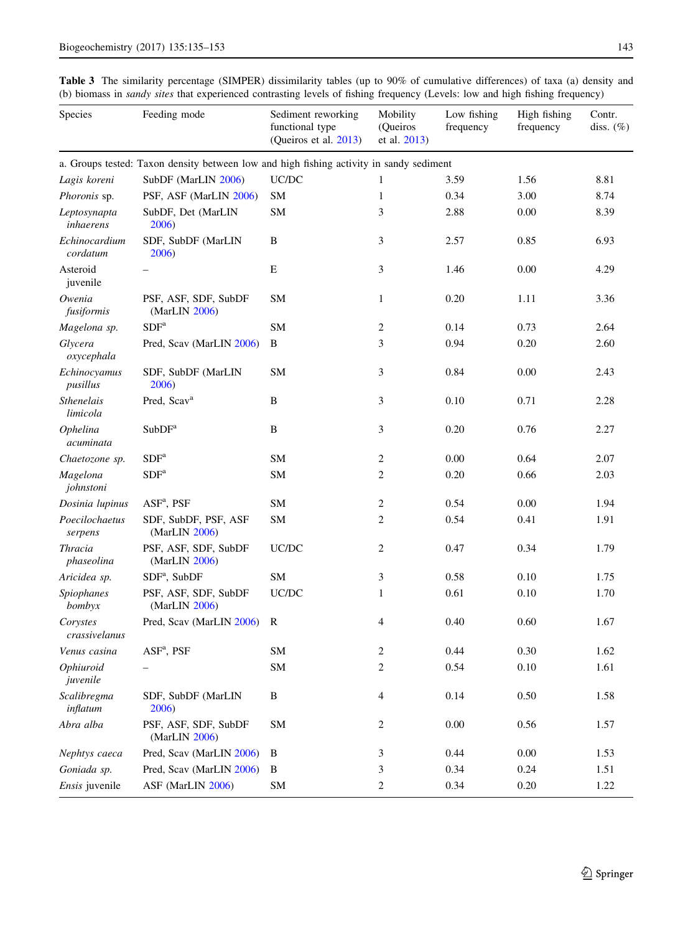<span id="page-8-0"></span>Table 3 The similarity percentage (SIMPER) dissimilarity tables (up to 90% of cumulative differences) of taxa (a) density and (b) biomass in sandy sites that experienced contrasting levels of fishing frequency (Levels: low and high fishing frequency)

| Species                      | Feeding mode                                                                            | Sediment reworking<br>functional type<br>(Queiros et al. 2013) | Mobility<br>(Queiros<br>et al. 2013) | Low fishing<br>frequency | High fishing<br>frequency | Contr.<br>diss. $(\%)$ |
|------------------------------|-----------------------------------------------------------------------------------------|----------------------------------------------------------------|--------------------------------------|--------------------------|---------------------------|------------------------|
|                              | a. Groups tested: Taxon density between low and high fishing activity in sandy sediment |                                                                |                                      |                          |                           |                        |
| Lagis koreni                 | SubDF (MarLIN 2006)                                                                     | UC/DC                                                          | 1                                    | 3.59                     | 1.56                      | 8.81                   |
| Phoronis sp.                 | PSF, ASF (MarLIN 2006)                                                                  | <b>SM</b>                                                      | $\mathbf{1}$                         | 0.34                     | 3.00                      | 8.74                   |
| Leptosynapta<br>inhaerens    | SubDF, Det (MarLIN<br>2006)                                                             | <b>SM</b>                                                      | 3                                    | 2.88                     | 0.00                      | 8.39                   |
| Echinocardium<br>cordatum    | SDF, SubDF (MarLIN<br>2006)                                                             | $\, {\bf B}$                                                   | 3                                    | 2.57                     | 0.85                      | 6.93                   |
| Asteroid<br>juvenile         |                                                                                         | E                                                              | 3                                    | 1.46                     | 0.00                      | 4.29                   |
| Owenia<br>fusiformis         | PSF, ASF, SDF, SubDF<br>(MarLIN 2006)                                                   | SM                                                             | $\mathbf{1}$                         | 0.20                     | 1.11                      | 3.36                   |
| Magelona sp.                 | SDF <sup>a</sup>                                                                        | <b>SM</b>                                                      | $\overline{c}$                       | 0.14                     | 0.73                      | 2.64                   |
| Glycera<br>oxycephala        | Pred, Scav (MarLIN 2006)                                                                | B                                                              | 3                                    | 0.94                     | 0.20                      | 2.60                   |
| Echinocyamus<br>pusillus     | SDF, SubDF (MarLIN<br>2006)                                                             | SM                                                             | 3                                    | 0.84                     | 0.00                      | 2.43                   |
| Sthenelais<br>limicola       | Pred, Scav <sup>a</sup>                                                                 | B                                                              | 3                                    | 0.10                     | 0.71                      | 2.28                   |
| Ophelina<br>acuminata        | SubDF <sup>a</sup>                                                                      | B                                                              | 3                                    | 0.20                     | 0.76                      | 2.27                   |
| Chaetozone sp.               | SDF <sup>a</sup>                                                                        | <b>SM</b>                                                      | $\overline{c}$                       | 0.00                     | 0.64                      | 2.07                   |
| Magelona<br>johnstoni        | SDF <sup>a</sup>                                                                        | <b>SM</b>                                                      | $\overline{c}$                       | 0.20                     | 0.66                      | 2.03                   |
| Dosinia lupinus              | $ASF^a$ , PSF                                                                           | <b>SM</b>                                                      | $\overline{c}$                       | 0.54                     | 0.00                      | 1.94                   |
| Poecilochaetus<br>serpens    | SDF, SubDF, PSF, ASF<br>(MarLIN 2006)                                                   | SM                                                             | $\overline{c}$                       | 0.54                     | 0.41                      | 1.91                   |
| <b>Thracia</b><br>phaseolina | PSF, ASF, SDF, SubDF<br>(MarLIN 2006)                                                   | UC/DC                                                          | $\overline{c}$                       | 0.47                     | 0.34                      | 1.79                   |
| Aricidea sp.                 | $SDFa$ , SubDF                                                                          | SM                                                             | 3                                    | 0.58                     | 0.10                      | 1.75                   |
| <b>Spiophanes</b><br>bombyx  | PSF, ASF, SDF, SubDF<br>(MarLIN 2006)                                                   | UC/DC                                                          | 1                                    | 0.61                     | 0.10                      | 1.70                   |
| Corystes<br>crassivelanus    | Pred, Scav (MarLIN 2006)                                                                | R                                                              | 4                                    | 0.40                     | 0.60                      | 1.67                   |
| Venus casina                 | ASF <sup>a</sup> , PSF                                                                  | SM                                                             | 2                                    | 0.44                     | 0.30                      | 1.62                   |
| Ophiuroid<br>juvenile        |                                                                                         | SM                                                             | $\boldsymbol{2}$                     | 0.54                     | 0.10                      | 1.61                   |
| Scalibregma<br>inflatum      | SDF, SubDF (MarLIN<br>2006)                                                             | B                                                              | 4                                    | 0.14                     | 0.50                      | 1.58                   |
| Abra alba                    | PSF, ASF, SDF, SubDF<br>(MarLIN 2006)                                                   | ${\rm SM}$                                                     | $\overline{c}$                       | 0.00                     | 0.56                      | 1.57                   |
| Nephtys caeca                | Pred, Scav (MarLIN 2006)                                                                | B                                                              | 3                                    | 0.44                     | $0.00\,$                  | 1.53                   |
| Goniada sp.                  | Pred, Scav (MarLIN 2006)                                                                | B                                                              | 3                                    | 0.34                     | 0.24                      | 1.51                   |
| Ensis juvenile               | ASF (MarLIN 2006)                                                                       | ${\rm SM}$                                                     | $\sqrt{2}$                           | 0.34                     | 0.20                      | 1.22                   |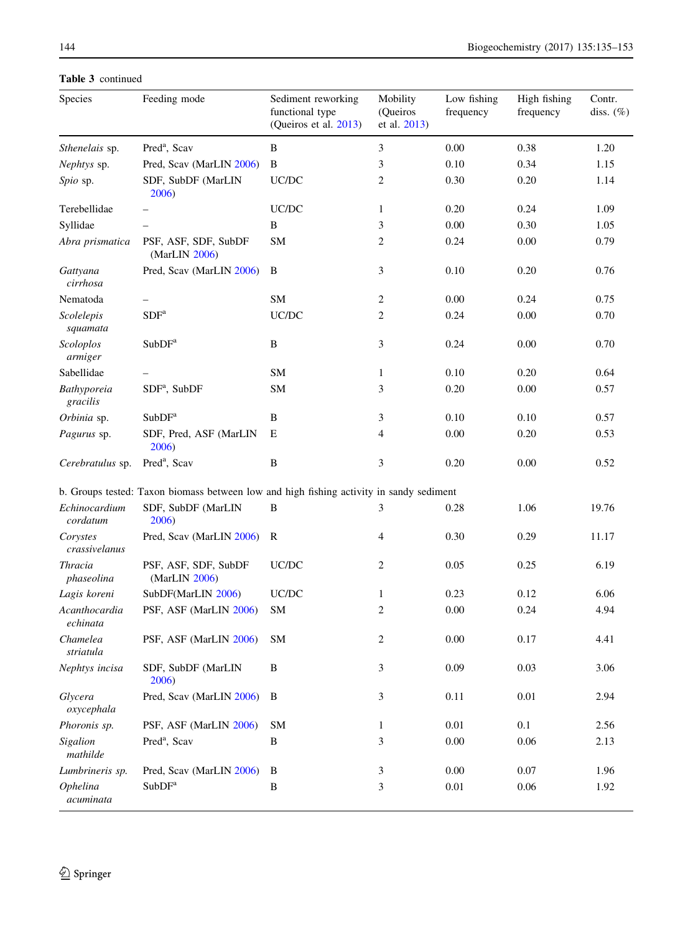| Species                   | Feeding mode                                                                            | Sediment reworking<br>functional type<br>(Queiros et al. 2013) | Mobility<br>(Queiros<br>et al. 2013) | Low fishing<br>frequency | High fishing<br>frequency | Contr.<br>diss. $(\%)$ |
|---------------------------|-----------------------------------------------------------------------------------------|----------------------------------------------------------------|--------------------------------------|--------------------------|---------------------------|------------------------|
| Sthenelais sp.            | Pred <sup>a</sup> , Scav                                                                | B                                                              | 3                                    | 0.00                     | 0.38                      | 1.20                   |
| Nephtys sp.               | Pred, Scav (MarLIN 2006)                                                                | B                                                              | 3                                    | 0.10                     | 0.34                      | 1.15                   |
| Spio sp.                  | SDF, SubDF (MarLIN<br>2006)                                                             | UC/DC                                                          | $\overline{c}$                       | 0.30                     | 0.20                      | 1.14                   |
| Terebellidae              |                                                                                         | UC/DC                                                          | $\mathbf{1}$                         | 0.20                     | 0.24                      | 1.09                   |
| Syllidae                  |                                                                                         | B                                                              | 3                                    | 0.00                     | 0.30                      | 1.05                   |
| Abra prismatica           | PSF, ASF, SDF, SubDF<br>(MarLIN 2006)                                                   | SM                                                             | $\overline{c}$                       | 0.24                     | 0.00                      | 0.79                   |
| Gattyana<br>cirrhosa      | Pred, Scav (MarLIN 2006)                                                                | B                                                              | 3                                    | 0.10                     | 0.20                      | 0.76                   |
| Nematoda                  |                                                                                         | SM                                                             | $\overline{c}$                       | 0.00                     | 0.24                      | 0.75                   |
| Scolelepis<br>squamata    | SDF <sup>a</sup>                                                                        | UC/DC                                                          | $\overline{c}$                       | 0.24                     | 0.00                      | 0.70                   |
| Scoloplos<br>armiger      | SubDF <sup>a</sup>                                                                      | B                                                              | 3                                    | 0.24                     | 0.00                      | 0.70                   |
| Sabellidae                |                                                                                         | SM                                                             | $\mathbf{1}$                         | 0.10                     | 0.20                      | 0.64                   |
| Bathyporeia<br>gracilis   | $SDFa$ , SubDF                                                                          | SM                                                             | 3                                    | 0.20                     | 0.00                      | 0.57                   |
| Orbinia sp.               | SubDF <sup>a</sup>                                                                      | B                                                              | 3                                    | 0.10                     | 0.10                      | 0.57                   |
| Pagurus sp.               | SDF, Pred, ASF (MarLIN<br>2006)                                                         | E                                                              | 4                                    | 0.00                     | 0.20                      | 0.53                   |
| Cerebratulus sp.          | Pred <sup>a</sup> , Scav                                                                | B                                                              | 3                                    | 0.20                     | 0.00                      | 0.52                   |
|                           | b. Groups tested: Taxon biomass between low and high fishing activity in sandy sediment |                                                                |                                      |                          |                           |                        |
| Echinocardium<br>cordatum | SDF, SubDF (MarLIN<br>2006)                                                             | B                                                              | 3                                    | 0.28                     | 1.06                      | 19.76                  |
| Corystes<br>crassivelanus | Pred, Scav (MarLIN 2006)                                                                | $\mathbf R$                                                    | 4                                    | 0.30                     | 0.29                      | 11.17                  |
| Thracia<br>phaseolina     | PSF, ASF, SDF, SubDF<br>(MarLIN 2006)                                                   | UC/DC                                                          | 2                                    | 0.05                     | 0.25                      | 6.19                   |
| Lagis koreni              | SubDF(MarLIN 2006)                                                                      | UC/DC                                                          | 1                                    | 0.23                     | 0.12                      | 6.06                   |
| Acanthocardia<br>echinata | PSF, ASF (MarLIN 2006)                                                                  | SM                                                             | $\overline{c}$                       | 0.00                     | 0.24                      | 4.94                   |
| Chamelea<br>striatula     | PSF, ASF (MarLIN 2006)                                                                  | SM                                                             | 2                                    | 0.00                     | 0.17                      | 4.41                   |
| Nephtys incisa            | SDF, SubDF (MarLIN<br>2006)                                                             | B                                                              | 3                                    | 0.09                     | 0.03                      | 3.06                   |
| Glycera<br>oxycephala     | Pred, Scav (MarLIN 2006)                                                                | B                                                              | 3                                    | 0.11                     | 0.01                      | 2.94                   |
| Phoronis sp.              | PSF, ASF (MarLIN 2006)                                                                  | SM                                                             | $\mathbf{1}$                         | $0.01\,$                 | 0.1                       | 2.56                   |
| Sigalion<br>mathilde      | Pred <sup>a</sup> , Scav                                                                | $\, {\bf B}$                                                   | 3                                    | 0.00                     | 0.06                      | 2.13                   |
| Lumbrineris sp.           | Pred, Scav (MarLIN 2006)                                                                | B                                                              | 3                                    | 0.00                     | 0.07                      | 1.96                   |
| Ophelina<br>acuminata     | SubDF <sup>a</sup>                                                                      | B                                                              | 3                                    | $0.01\,$                 | $0.06\,$                  | 1.92                   |

Table 3 continued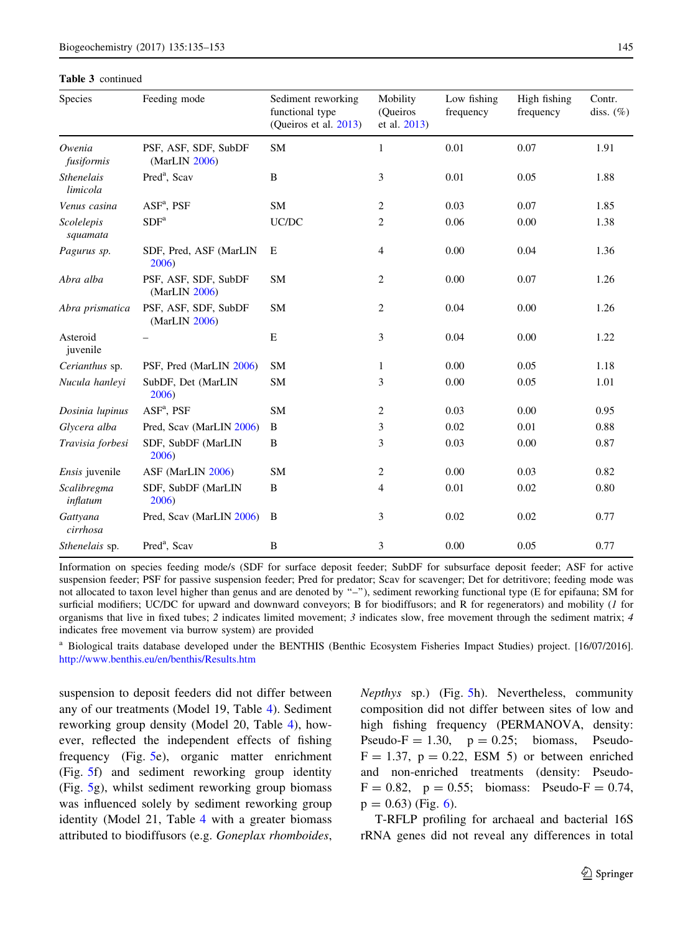|  | <b>Table 3</b> continued |
|--|--------------------------|
|--|--------------------------|

| Species                       | Feeding mode                          | Sediment reworking<br>functional type<br>(Queiros et al. 2013) | Mobility<br>(Queiros<br>et al. 2013) | Low fishing<br>frequency | High fishing<br>frequency | Contr.<br>diss. $(\%)$ |
|-------------------------------|---------------------------------------|----------------------------------------------------------------|--------------------------------------|--------------------------|---------------------------|------------------------|
| Owenia<br>fusiformis          | PSF, ASF, SDF, SubDF<br>(MarLIN 2006) | <b>SM</b>                                                      | 1                                    | 0.01                     | 0.07                      | 1.91                   |
| <b>Sthenelais</b><br>limicola | Pred <sup>a</sup> , Scav              | B                                                              | 3                                    | 0.01                     | 0.05                      | 1.88                   |
| Venus casina                  | $ASFa$ , PSF                          | <b>SM</b>                                                      | 2                                    | 0.03                     | 0.07                      | 1.85                   |
| Scolelepis<br>squamata        | SDF <sup>a</sup>                      | UC/DC                                                          | 2                                    | 0.06                     | 0.00                      | 1.38                   |
| Pagurus sp.                   | SDF, Pred, ASF (MarLIN<br>2006)       | Е                                                              | $\overline{4}$                       | 0.00                     | 0.04                      | 1.36                   |
| Abra alba                     | PSF, ASF, SDF, SubDF<br>(MarLIN 2006) | <b>SM</b>                                                      | 2                                    | 0.00                     | 0.07                      | 1.26                   |
| Abra prismatica               | PSF, ASF, SDF, SubDF<br>(MarLIN 2006) | <b>SM</b>                                                      | $\overline{c}$                       | 0.04                     | 0.00                      | 1.26                   |
| Asteroid<br>juvenile          |                                       | E                                                              | 3                                    | 0.04                     | 0.00                      | 1.22                   |
| Cerianthus sp.                | PSF, Pred (MarLIN 2006)               | <b>SM</b>                                                      | $\mathbf{1}$                         | 0.00                     | 0.05                      | 1.18                   |
| Nucula hanleyi                | SubDF, Det (MarLIN<br>2006)           | <b>SM</b>                                                      | 3                                    | 0.00                     | 0.05                      | 1.01                   |
| Dosinia lupinus               | $ASFa$ , PSF                          | SM                                                             | 2                                    | 0.03                     | 0.00                      | 0.95                   |
| Glycera alba                  | Pred, Scav (MarLIN 2006)              | B                                                              | 3                                    | 0.02                     | 0.01                      | 0.88                   |
| Travisia forbesi              | SDF, SubDF (MarLIN<br>2006)           | B                                                              | 3                                    | 0.03                     | 0.00                      | 0.87                   |
| <i>Ensis</i> juvenile         | ASF (MarLIN 2006)                     | <b>SM</b>                                                      | 2                                    | 0.00                     | 0.03                      | 0.82                   |
| Scalibregma<br>inflatum       | SDF, SubDF (MarLIN<br>2006)           | B                                                              | 4                                    | 0.01                     | 0.02                      | 0.80                   |
| Gattyana<br>cirrhosa          | Pred, Scav (MarLIN 2006)              | B                                                              | 3                                    | 0.02                     | 0.02                      | 0.77                   |
| Sthenelais sp.                | Pred <sup>a</sup> , Scav              | B                                                              | 3                                    | 0.00                     | 0.05                      | 0.77                   |

Information on species feeding mode/s (SDF for surface deposit feeder; SubDF for subsurface deposit feeder; ASF for active suspension feeder; PSF for passive suspension feeder; Pred for predator; Scav for scavenger; Det for detritivore; feeding mode was not allocated to taxon level higher than genus and are denoted by "-"), sediment reworking functional type (E for epifauna; SM for surficial modifiers; UC/DC for upward and downward conveyors; B for biodiffusors; and R for regenerators) and mobility (1 for organisms that live in fixed tubes; 2 indicates limited movement; 3 indicates slow, free movement through the sediment matrix; 4 indicates free movement via burrow system) are provided

<sup>a</sup> Biological traits database developed under the BENTHIS (Benthic Ecosystem Fisheries Impact Studies) project. [16/07/2016]. <http://www.benthis.eu/en/benthis/Results.htm>

suspension to deposit feeders did not differ between any of our treatments (Model 19, Table [4\)](#page-12-0). Sediment reworking group density (Model 20, Table [4](#page-12-0)), however, reflected the independent effects of fishing frequency (Fig. [5](#page-13-0)e), organic matter enrichment (Fig. [5](#page-13-0)f) and sediment reworking group identity (Fig. [5](#page-13-0)g), whilst sediment reworking group biomass was influenced solely by sediment reworking group identity (Model 21, Table [4](#page-12-0) with a greater biomass attributed to biodiffusors (e.g. Goneplax rhomboides, Nepthys sp.) (Fig. [5](#page-13-0)h). Nevertheless, community composition did not differ between sites of low and high fishing frequency (PERMANOVA, density: Pseudo-F  $= 1.30$ ,  $p = 0.25$ ; biomass, Pseudo- $F = 1.37$ ,  $p = 0.22$ . ESM 5) or between enriched and non-enriched treatments (density: Pseudo- $F = 0.82$ ,  $p = 0.55$ ; biomass: Pseudo-F = 0.74,  $p = 0.63$  $p = 0.63$  $p = 0.63$ ) (Fig. 6).

T-RFLP profiling for archaeal and bacterial 16S rRNA genes did not reveal any differences in total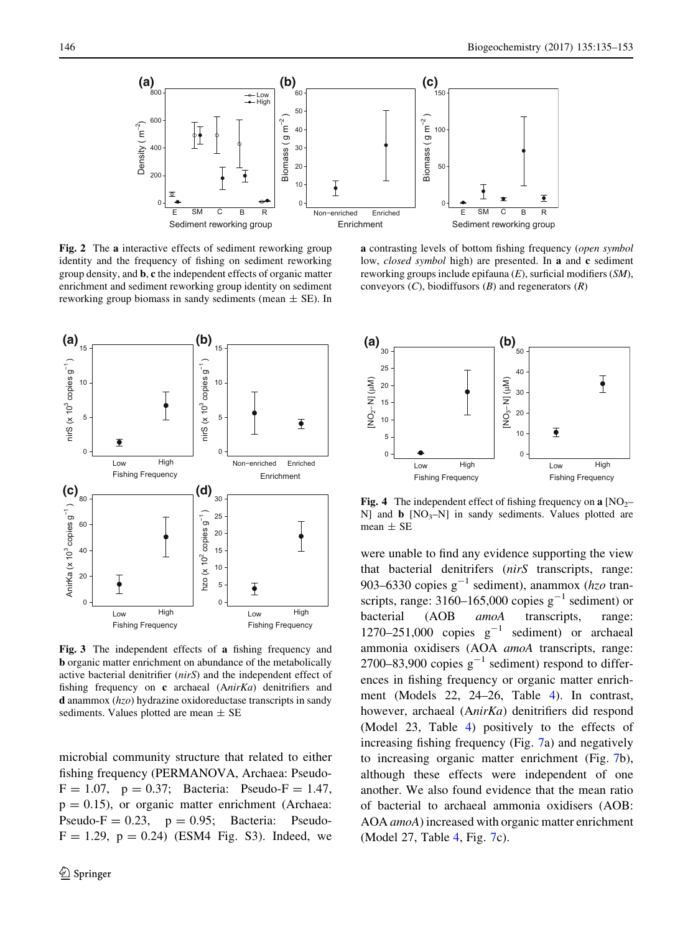<span id="page-11-0"></span>

Fig. 2 The a interactive effects of sediment reworking group identity and the frequency of fishing on sediment reworking group density, and b, c the independent effects of organic matter enrichment and sediment reworking group identity on sediment reworking group biomass in sandy sediments (mean  $\pm$  SE). In



Fig. 3 The independent effects of a fishing frequency and b organic matter enrichment on abundance of the metabolically active bacterial denitrifier (nirS) and the independent effect of fishing frequency on c archaeal (AnirKa) denitrifiers and **d** anammox  $(hzo)$  hydrazine oxidoreductase transcripts in sandy sediments. Values plotted are mean  $\pm$  SE

microbial community structure that related to either fishing frequency (PERMANOVA, Archaea: Pseudo- $F = 1.07$ ,  $p = 0.37$ ; Bacteria: Pseudo-F = 1.47,  $p = 0.15$ ), or organic matter enrichment (Archaea: Pseudo-F  $= 0.23$ ,  $p = 0.95$ ; Bacteria: Pseudo- $F = 1.29$ ,  $p = 0.24$ ) (ESM4 Fig. S3). Indeed, we

a contrasting levels of bottom fishing frequency (open symbol low, *closed symbol* high) are presented. In a and c sediment reworking groups include epifauna (E), surficial modifiers (SM), conveyors  $(C)$ , biodiffusors  $(B)$  and regenerators  $(R)$ 



**Fig. 4** The independent effect of fishing frequency on a  $[NO<sub>2</sub>–$ N] and  $\bf{b}$  [NO<sub>3</sub>–N] in sandy sediments. Values plotted are mean  $\pm$  SE

were unable to find any evidence supporting the view that bacterial denitrifers (nirS transcripts, range: 903–6330 copies  $g^{-1}$  sediment), anammox (hzo transcripts, range:  $3160-165,000$  copies  $g^{-1}$  sediment) or bacterial (AOB amoA transcripts, range: 1270–251,000 copies  $g^{-1}$  sediment) or archaeal ammonia oxidisers (AOA amoA transcripts, range: 2700–83,900 copies  $g^{-1}$  sediment) respond to differences in fishing frequency or organic matter enrichment (Models 22, 24–26, Table [4\)](#page-12-0). In contrast, however, archaeal (AnirKa) denitrifiers did respond (Model 23, Table [4\)](#page-12-0) positively to the effects of increasing fishing frequency (Fig. [7](#page-14-0)a) and negatively to increasing organic matter enrichment (Fig. [7](#page-14-0)b), although these effects were independent of one another. We also found evidence that the mean ratio of bacterial to archaeal ammonia oxidisers (AOB: AOA amoA) increased with organic matter enrichment (Model 27, Table [4](#page-12-0), Fig. [7](#page-14-0)c).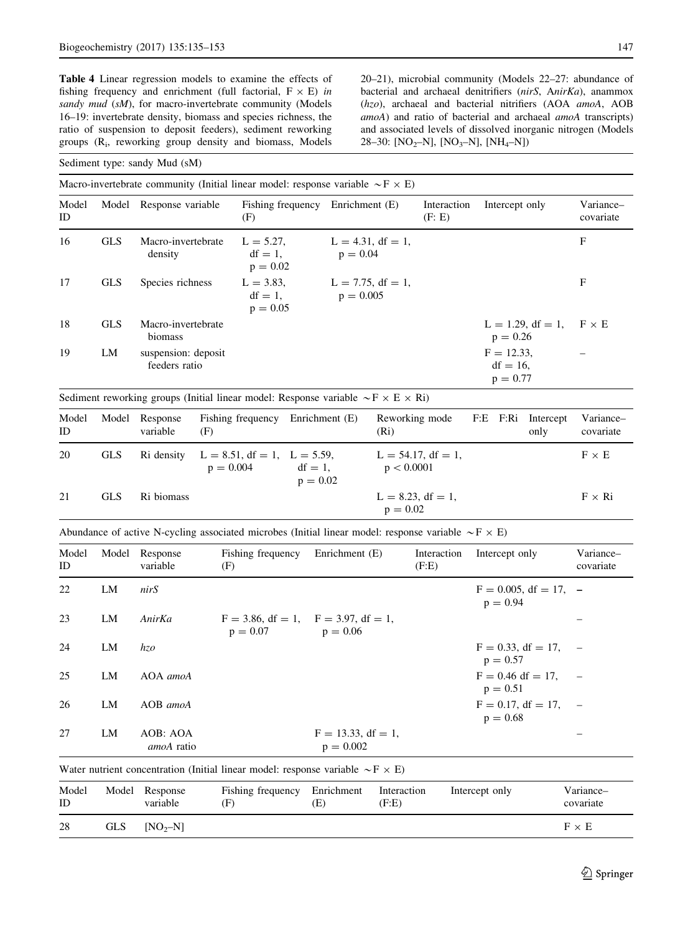<span id="page-12-0"></span>Table 4 Linear regression models to examine the effects of fishing frequency and enrichment (full factorial,  $F \times E$ ) in sandy mud (sM), for macro-invertebrate community (Models 16–19: invertebrate density, biomass and species richness, the ratio of suspension to deposit feeders), sediment reworking groups (Ri, reworking group density and biomass, Models 20–21), microbial community (Models 22–27: abundance of bacterial and archaeal denitrifiers (nirS, AnirKa), anammox (hzo), archaeal and bacterial nitrifiers (AOA amoA, AOB amoA) and ratio of bacterial and archaeal amoA transcripts) and associated levels of dissolved inorganic nitrogen (Models 28–30: [NO<sub>2</sub>–N], [NO<sub>3</sub>–N], [NH<sub>4</sub>–N])

#### Sediment type: sandy Mud (sM)

Macro-invertebrate community (Initial linear model: response variable  $\sim$ F  $\times$  E)

| Model<br>ID |            | Model Response variable              | Fishing frequency<br>(F)                 | Enrichment (E)                      | Interaction<br>(F: E) | Intercept only                             | Variance-<br>covariate |
|-------------|------------|--------------------------------------|------------------------------------------|-------------------------------------|-----------------------|--------------------------------------------|------------------------|
| 16          | <b>GLS</b> | Macro-invertebrate<br>density        | $L = 5.27$ ,<br>$df = 1$ ,<br>$p = 0.02$ | $L = 4.31$ , df = 1,<br>$p = 0.04$  |                       |                                            | F                      |
| 17          | <b>GLS</b> | Species richness                     | $L = 3.83$ ,<br>$df = 1$ ,<br>$p = 0.05$ | $L = 7.75$ , df = 1,<br>$p = 0.005$ |                       |                                            | F                      |
| 18          | <b>GLS</b> | Macro-invertebrate<br>biomass        |                                          |                                     |                       | $L = 1.29$ , df = 1,<br>$p = 0.26$         | $F \times E$           |
| 19          | LM         | suspension: deposit<br>feeders ratio |                                          |                                     |                       | $F = 12.33$ ,<br>$df = 16$ .<br>$p = 0.77$ |                        |

Sediment reworking groups (Initial linear model: Response variable  $\sim$ F  $\times$  E  $\times$  Ri)

| Model<br>ID | Model      | Response<br>variable | Fishing frequency<br>(F)                         | Enrichment (E)           | Reworking mode<br>(Ri)              | F:E F:Ri | Intercept<br>only | Variance-<br>covariate |
|-------------|------------|----------------------|--------------------------------------------------|--------------------------|-------------------------------------|----------|-------------------|------------------------|
| 20          | <b>GLS</b> | Ri density           | $L = 8.51$ , df = 1, $L = 5.59$ ,<br>$p = 0.004$ | $df = 1$ .<br>$p = 0.02$ | $L = 54.17$ , df = 1,<br>p < 0.0001 |          |                   | $F \times E$           |
| 21          | <b>GLS</b> | Ri biomass           |                                                  |                          | $L = 8.23$ , df = 1,<br>$p = 0.02$  |          |                   | $F \times Ri$          |

Abundance of active N-cycling associated microbes (Initial linear model: response variable  $\sim$ F  $\times$  E)

|    | variable               | Fishing frequency<br>(F) | Enrichment (E)                       | Interaction<br>(F.E)                      | Intercept only                    | Variance-<br>covariate                                                         |
|----|------------------------|--------------------------|--------------------------------------|-------------------------------------------|-----------------------------------|--------------------------------------------------------------------------------|
| LM | nirS                   |                          |                                      |                                           | $p = 0.94$                        |                                                                                |
| LM | AnirKa                 | $p = 0.07$               | $p = 0.06$                           |                                           |                                   |                                                                                |
| LM | hzo                    |                          |                                      |                                           | $p = 0.57$                        |                                                                                |
| LM | AOA amoA               |                          |                                      |                                           | $F = 0.46$ df = 17.<br>$p = 0.51$ | $\sim$ $-$                                                                     |
| LM | AOB amoA               |                          |                                      |                                           | $p = 0.68$                        |                                                                                |
| LM | AOB: AOA<br>amoA ratio |                          | $F = 13.33$ , df = 1,<br>$p = 0.002$ |                                           |                                   |                                                                                |
|    |                        | Model Response           |                                      | $F = 3.86$ , df = 1, $F = 3.97$ , df = 1, |                                   | $F = 0.005$ , df = 17, -<br>$F = 0.33$ , df = 17, -<br>$F = 0.17$ , df = 17, - |

Water nutrient concentration (Initial linear model: response variable  $\sim$ F  $\times$  E) Model ID Model Response variable Fishing frequency (F) Enrichment (E) Interaction (F:E) Intercept only Variance– covariate 28 GLS  $[NO<sub>2</sub>-N]$  F  $\times$  E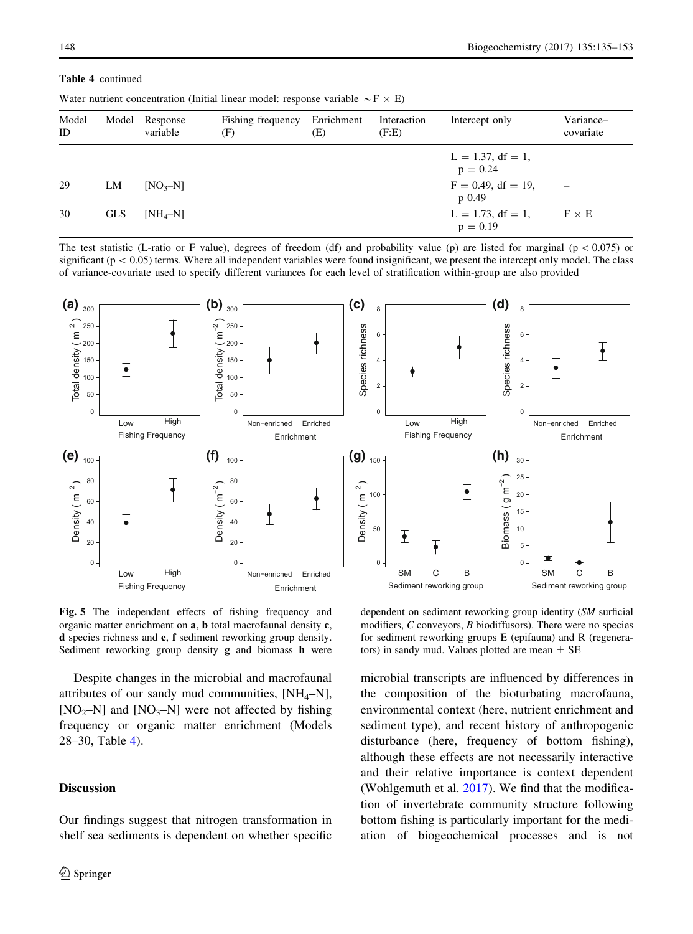| Water nutrient concentration (Initial linear model: response variable $\sim$ F $\times$ E) |                  |                         |                          |                   |                      |                                                                                                   |                        |  |  |  |
|--------------------------------------------------------------------------------------------|------------------|-------------------------|--------------------------|-------------------|----------------------|---------------------------------------------------------------------------------------------------|------------------------|--|--|--|
| Model<br>ID.                                                                               | Model            | Response<br>variable    | Fishing frequency<br>(F) | Enrichment<br>(E) | Interaction<br>(F.E) | Intercept only                                                                                    | Variance-<br>covariate |  |  |  |
| 29<br>30                                                                                   | LM<br><b>GLS</b> | $[NO3-N]$<br>$[NH_4-N]$ |                          |                   |                      | $L = 1.37$ , df = 1,<br>$p = 0.24$<br>$F = 0.49$ , df = 19.<br>$p_{0.49}$<br>$L = 1.73$ , df = 1, | $F \times E$           |  |  |  |
|                                                                                            |                  |                         |                          |                   |                      | $p = 0.19$                                                                                        |                        |  |  |  |

<span id="page-13-0"></span>Table 4 continued

The test statistic (L-ratio or F value), degrees of freedom (df) and probability value (p) are listed for marginal ( $p \lt 0.075$ ) or significant ( $p\lt 0.05$ ) terms. Where all independent variables were found insignificant, we present the intercept only model. The class of variance-covariate used to specify different variances for each level of stratification within-group are also provided



Fig. 5 The independent effects of fishing frequency and organic matter enrichment on a, b total macrofaunal density c, d species richness and e, f sediment reworking group density. Sediment reworking group density g and biomass h were

Despite changes in the microbial and macrofaunal attributes of our sandy mud communities,  $[NH_4-N]$ , [NO<sub>2</sub>–N] and [NO<sub>3</sub>–N] were not affected by fishing frequency or organic matter enrichment (Models 28–30, Table [4\)](#page-12-0).

## **Discussion**

Our findings suggest that nitrogen transformation in shelf sea sediments is dependent on whether specific

dependent on sediment reworking group identity (SM surficial modifiers, C conveyors, B biodiffusors). There were no species for sediment reworking groups E (epifauna) and R (regenerators) in sandy mud. Values plotted are mean  $\pm$  SE

microbial transcripts are influenced by differences in the composition of the bioturbating macrofauna, environmental context (here, nutrient enrichment and sediment type), and recent history of anthropogenic disturbance (here, frequency of bottom fishing), although these effects are not necessarily interactive and their relative importance is context dependent (Wohlgemuth et al. [2017\)](#page-18-0). We find that the modification of invertebrate community structure following bottom fishing is particularly important for the mediation of biogeochemical processes and is not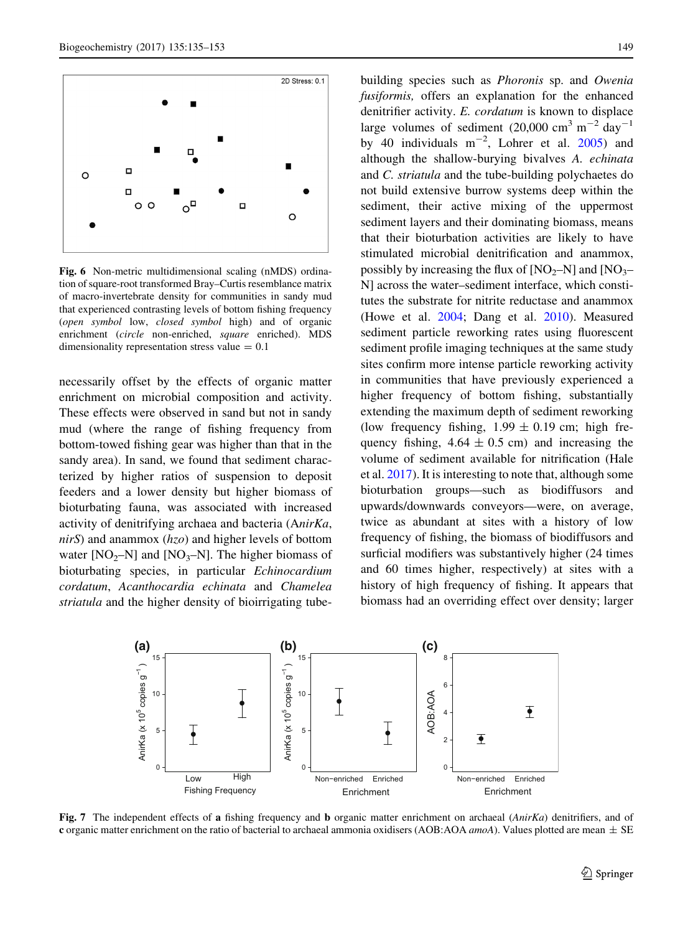<span id="page-14-0"></span>

Fig. 6 Non-metric multidimensional scaling (nMDS) ordination of square-root transformed Bray–Curtis resemblance matrix of macro-invertebrate density for communities in sandy mud that experienced contrasting levels of bottom fishing frequency (open symbol low, closed symbol high) and of organic enrichment (circle non-enriched, square enriched). MDS dimensionality representation stress value  $= 0.1$ 

necessarily offset by the effects of organic matter enrichment on microbial composition and activity. These effects were observed in sand but not in sandy mud (where the range of fishing frequency from bottom-towed fishing gear was higher than that in the sandy area). In sand, we found that sediment characterized by higher ratios of suspension to deposit feeders and a lower density but higher biomass of bioturbating fauna, was associated with increased activity of denitrifying archaea and bacteria (AnirKa,  $nirS$ ) and anammox ( $hzo$ ) and higher levels of bottom water  $[NO<sub>2</sub>-N]$  and  $[NO<sub>3</sub>-N]$ . The higher biomass of bioturbating species, in particular Echinocardium cordatum, Acanthocardia echinata and Chamelea striatula and the higher density of bioirrigating tubebuilding species such as Phoronis sp. and Owenia fusiformis, offers an explanation for the enhanced denitrifier activity. E. cordatum is known to displace large volumes of sediment (20,000 cm<sup>3</sup> m<sup>-2</sup> day<sup>-1</sup> by 40 individuals  $m^{-2}$ , Lohrer et al. [2005](#page-17-0)) and although the shallow-burying bivalves A. echinata and C. striatula and the tube-building polychaetes do not build extensive burrow systems deep within the sediment, their active mixing of the uppermost sediment layers and their dominating biomass, means that their bioturbation activities are likely to have stimulated microbial denitrification and anammox, possibly by increasing the flux of  $[NO<sub>2</sub>–N]$  and  $[NO<sub>3</sub>–$ N] across the water–sediment interface, which constitutes the substrate for nitrite reductase and anammox (Howe et al. [2004;](#page-16-0) Dang et al. [2010\)](#page-16-0). Measured sediment particle reworking rates using fluorescent sediment profile imaging techniques at the same study sites confirm more intense particle reworking activity in communities that have previously experienced a higher frequency of bottom fishing, substantially extending the maximum depth of sediment reworking (low frequency fishing,  $1.99 \pm 0.19$  cm; high frequency fishing,  $4.64 \pm 0.5$  cm) and increasing the volume of sediment available for nitrification (Hale et al. [2017\)](#page-16-0). It is interesting to note that, although some bioturbation groups—such as biodiffusors and upwards/downwards conveyors—were, on average, twice as abundant at sites with a history of low frequency of fishing, the biomass of biodiffusors and surficial modifiers was substantively higher (24 times and 60 times higher, respectively) at sites with a history of high frequency of fishing. It appears that biomass had an overriding effect over density; larger



Fig. 7 The independent effects of a fishing frequency and b organic matter enrichment on archaeal (AnirKa) denitrifiers, and of c organic matter enrichment on the ratio of bacterial to archaeal ammonia oxidisers (AOB:AOA *amoA*). Values plotted are mean  $\pm$  SE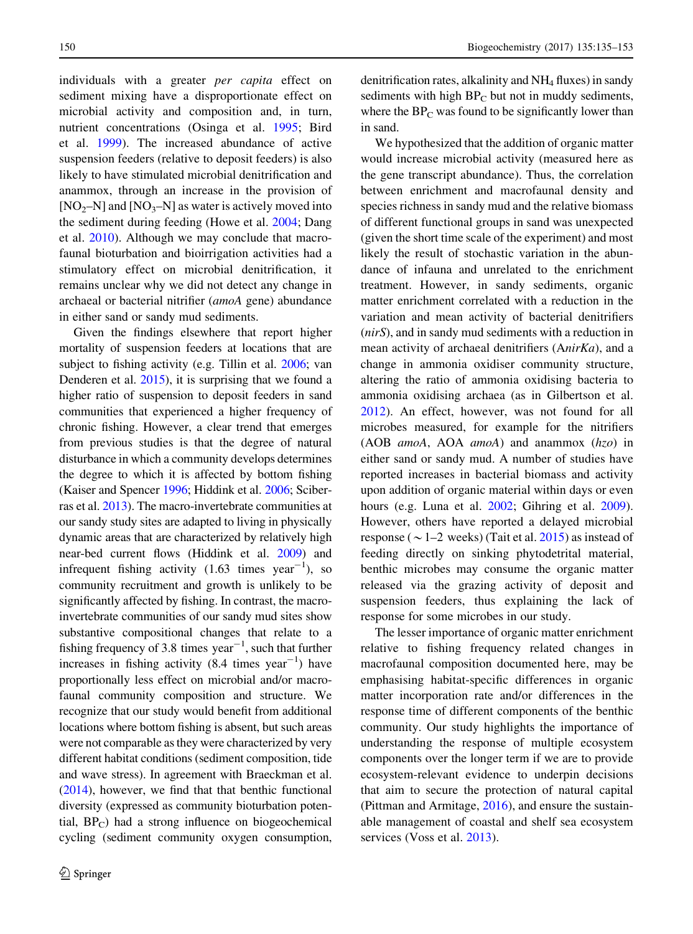individuals with a greater per capita effect on sediment mixing have a disproportionate effect on microbial activity and composition and, in turn, nutrient concentrations (Osinga et al. [1995;](#page-17-0) Bird et al. [1999](#page-16-0)). The increased abundance of active suspension feeders (relative to deposit feeders) is also likely to have stimulated microbial denitrification and anammox, through an increase in the provision of  $[NO<sub>2</sub>–N]$  and  $[NO<sub>3</sub>–N]$  as water is actively moved into the sediment during feeding (Howe et al. [2004;](#page-16-0) Dang et al. [2010](#page-16-0)). Although we may conclude that macrofaunal bioturbation and bioirrigation activities had a stimulatory effect on microbial denitrification, it remains unclear why we did not detect any change in archaeal or bacterial nitrifier (amoA gene) abundance in either sand or sandy mud sediments.

Given the findings elsewhere that report higher mortality of suspension feeders at locations that are subject to fishing activity (e.g. Tillin et al. [2006;](#page-17-0) van Denderen et al. [2015](#page-17-0)), it is surprising that we found a higher ratio of suspension to deposit feeders in sand communities that experienced a higher frequency of chronic fishing. However, a clear trend that emerges from previous studies is that the degree of natural disturbance in which a community develops determines the degree to which it is affected by bottom fishing (Kaiser and Spencer [1996](#page-17-0); Hiddink et al. [2006;](#page-16-0) Sciberras et al. [2013\)](#page-17-0). The macro-invertebrate communities at our sandy study sites are adapted to living in physically dynamic areas that are characterized by relatively high near-bed current flows (Hiddink et al. [2009\)](#page-16-0) and infrequent fishing activity  $(1.63 \text{ times } \text{year}^{-1})$ , so community recruitment and growth is unlikely to be significantly affected by fishing. In contrast, the macroinvertebrate communities of our sandy mud sites show substantive compositional changes that relate to a fishing frequency of 3.8 times  $year^{-1}$ , such that further increases in fishing activity  $(8.4 \text{ times year}^{-1})$  have proportionally less effect on microbial and/or macrofaunal community composition and structure. We recognize that our study would benefit from additional locations where bottom fishing is absent, but such areas were not comparable as they were characterized by very different habitat conditions (sediment composition, tide and wave stress). In agreement with Braeckman et al. [\(2014\)](#page-16-0), however, we find that that benthic functional diversity (expressed as community bioturbation potential,  $BP_C$ ) had a strong influence on biogeochemical cycling (sediment community oxygen consumption,

denitrification rates, alkalinity and NH4 fluxes) in sandy sediments with high  $BP<sub>C</sub>$  but not in muddy sediments, where the  $BP<sub>C</sub>$  was found to be significantly lower than in sand.

We hypothesized that the addition of organic matter would increase microbial activity (measured here as the gene transcript abundance). Thus, the correlation between enrichment and macrofaunal density and species richness in sandy mud and the relative biomass of different functional groups in sand was unexpected (given the short time scale of the experiment) and most likely the result of stochastic variation in the abundance of infauna and unrelated to the enrichment treatment. However, in sandy sediments, organic matter enrichment correlated with a reduction in the variation and mean activity of bacterial denitrifiers (nirS), and in sandy mud sediments with a reduction in mean activity of archaeal denitrifiers (AnirKa), and a change in ammonia oxidiser community structure, altering the ratio of ammonia oxidising bacteria to ammonia oxidising archaea (as in Gilbertson et al. [2012\)](#page-16-0). An effect, however, was not found for all microbes measured, for example for the nitrifiers (AOB *amoA*, AOA *amoA*) and anammox  $(hzo)$  in either sand or sandy mud. A number of studies have reported increases in bacterial biomass and activity upon addition of organic material within days or even hours (e.g. Luna et al. [2002](#page-17-0); Gihring et al. [2009](#page-16-0)). However, others have reported a delayed microbial response ( $\sim$  1–2 weeks) (Tait et al. [2015](#page-17-0)) as instead of feeding directly on sinking phytodetrital material, benthic microbes may consume the organic matter released via the grazing activity of deposit and suspension feeders, thus explaining the lack of response for some microbes in our study.

The lesser importance of organic matter enrichment relative to fishing frequency related changes in macrofaunal composition documented here, may be emphasising habitat-specific differences in organic matter incorporation rate and/or differences in the response time of different components of the benthic community. Our study highlights the importance of understanding the response of multiple ecosystem components over the longer term if we are to provide ecosystem-relevant evidence to underpin decisions that aim to secure the protection of natural capital (Pittman and Armitage, [2016](#page-17-0)), and ensure the sustainable management of coastal and shelf sea ecosystem services (Voss et al. [2013](#page-18-0)).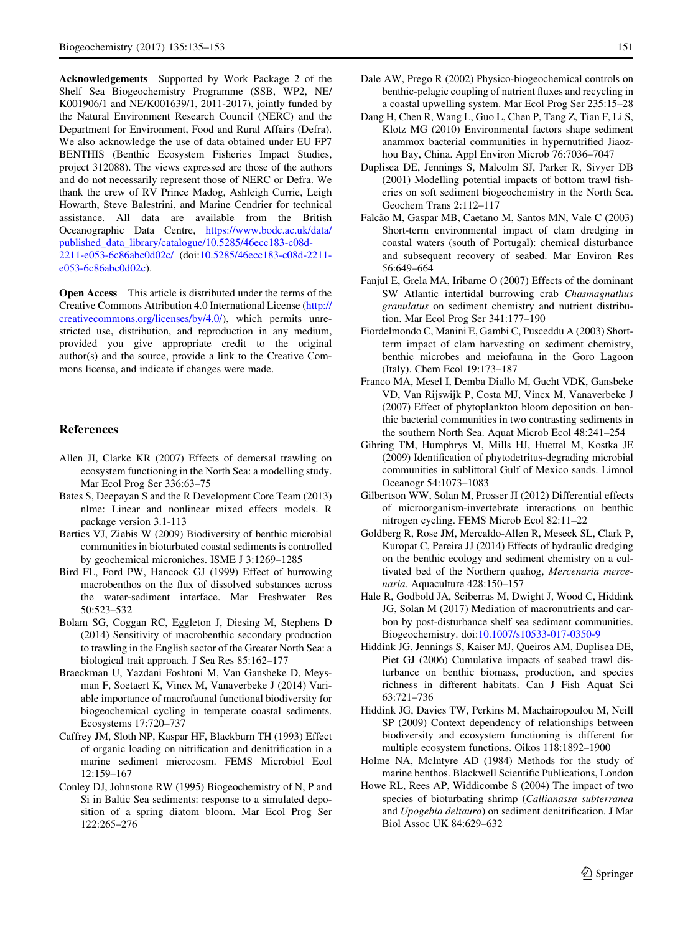<span id="page-16-0"></span>Acknowledgements Supported by Work Package 2 of the Shelf Sea Biogeochemistry Programme (SSB, WP2, NE/ K001906/1 and NE/K001639/1, 2011-2017), jointly funded by the Natural Environment Research Council (NERC) and the Department for Environment, Food and Rural Affairs (Defra). We also acknowledge the use of data obtained under EU FP7 BENTHIS (Benthic Ecosystem Fisheries Impact Studies, project 312088). The views expressed are those of the authors and do not necessarily represent those of NERC or Defra. We thank the crew of RV Prince Madog, Ashleigh Currie, Leigh Howarth, Steve Balestrini, and Marine Cendrier for technical assistance. All data are available from the British Oceanographic Data Centre, [https://www.bodc.ac.uk/data/](https://www.bodc.ac.uk/data/published_data_library/catalogue/10.5285/46ecc183-c08d-2211-e053-6c86abc0d02c/) [published\\_data\\_library/catalogue/10.5285/46ecc183-c08d-](https://www.bodc.ac.uk/data/published_data_library/catalogue/10.5285/46ecc183-c08d-2211-e053-6c86abc0d02c/)[2211-e053-6c86abc0d02c/](https://www.bodc.ac.uk/data/published_data_library/catalogue/10.5285/46ecc183-c08d-2211-e053-6c86abc0d02c/) (doi:[10.5285/46ecc183-c08d-2211](http://dx.doi.org/10.5285/46ecc183-c08d-2211-e053-6c86abc0d02c) [e053-6c86abc0d02c](http://dx.doi.org/10.5285/46ecc183-c08d-2211-e053-6c86abc0d02c)).

Open Access This article is distributed under the terms of the Creative Commons Attribution 4.0 International License ([http://](http://creativecommons.org/licenses/by/4.0/) [creativecommons.org/licenses/by/4.0/\)](http://creativecommons.org/licenses/by/4.0/), which permits unrestricted use, distribution, and reproduction in any medium, provided you give appropriate credit to the original author(s) and the source, provide a link to the Creative Commons license, and indicate if changes were made.

#### References

- Allen JI, Clarke KR (2007) Effects of demersal trawling on ecosystem functioning in the North Sea: a modelling study. Mar Ecol Prog Ser 336:63–75
- Bates S, Deepayan S and the R Development Core Team (2013) nlme: Linear and nonlinear mixed effects models. R package version 3.1-113
- Bertics VJ, Ziebis W (2009) Biodiversity of benthic microbial communities in bioturbated coastal sediments is controlled by geochemical microniches. ISME J 3:1269–1285
- Bird FL, Ford PW, Hancock GJ (1999) Effect of burrowing macrobenthos on the flux of dissolved substances across the water-sediment interface. Mar Freshwater Res 50:523–532
- Bolam SG, Coggan RC, Eggleton J, Diesing M, Stephens D (2014) Sensitivity of macrobenthic secondary production to trawling in the English sector of the Greater North Sea: a biological trait approach. J Sea Res 85:162–177
- Braeckman U, Yazdani Foshtoni M, Van Gansbeke D, Meysman F, Soetaert K, Vincx M, Vanaverbeke J (2014) Variable importance of macrofaunal functional biodiversity for biogeochemical cycling in temperate coastal sediments. Ecosystems 17:720–737
- Caffrey JM, Sloth NP, Kaspar HF, Blackburn TH (1993) Effect of organic loading on nitrification and denitrification in a marine sediment microcosm. FEMS Microbiol Ecol  $12.159 - 167$
- Conley DJ, Johnstone RW (1995) Biogeochemistry of N, P and Si in Baltic Sea sediments: response to a simulated deposition of a spring diatom bloom. Mar Ecol Prog Ser 122:265–276
- Dale AW, Prego R (2002) Physico-biogeochemical controls on benthic-pelagic coupling of nutrient fluxes and recycling in a coastal upwelling system. Mar Ecol Prog Ser 235:15–28
- Dang H, Chen R, Wang L, Guo L, Chen P, Tang Z, Tian F, Li S, Klotz MG (2010) Environmental factors shape sediment anammox bacterial communities in hypernutrified Jiaozhou Bay, China. Appl Environ Microb 76:7036–7047
- Duplisea DE, Jennings S, Malcolm SJ, Parker R, Sivyer DB (2001) Modelling potential impacts of bottom trawl fisheries on soft sediment biogeochemistry in the North Sea. Geochem Trans 2:112–117
- Falcão M, Gaspar MB, Caetano M, Santos MN, Vale C (2003) Short-term environmental impact of clam dredging in coastal waters (south of Portugal): chemical disturbance and subsequent recovery of seabed. Mar Environ Res 56:649–664
- Fanjul E, Grela MA, Iribarne O (2007) Effects of the dominant SW Atlantic intertidal burrowing crab Chasmagnathus granulatus on sediment chemistry and nutrient distribution. Mar Ecol Prog Ser 341:177–190
- Fiordelmondo C, Manini E, Gambi C, Pusceddu A (2003) Shortterm impact of clam harvesting on sediment chemistry, benthic microbes and meiofauna in the Goro Lagoon (Italy). Chem Ecol 19:173–187
- Franco MA, Mesel I, Demba Diallo M, Gucht VDK, Gansbeke VD, Van Rijswijk P, Costa MJ, Vincx M, Vanaverbeke J (2007) Effect of phytoplankton bloom deposition on benthic bacterial communities in two contrasting sediments in the southern North Sea. Aquat Microb Ecol 48:241–254
- Gihring TM, Humphrys M, Mills HJ, Huettel M, Kostka JE (2009) Identification of phytodetritus-degrading microbial communities in sublittoral Gulf of Mexico sands. Limnol Oceanogr 54:1073–1083
- Gilbertson WW, Solan M, Prosser JI (2012) Differential effects of microorganism-invertebrate interactions on benthic nitrogen cycling. FEMS Microb Ecol 82:11–22
- Goldberg R, Rose JM, Mercaldo-Allen R, Meseck SL, Clark P, Kuropat C, Pereira JJ (2014) Effects of hydraulic dredging on the benthic ecology and sediment chemistry on a cultivated bed of the Northern quahog, Mercenaria mercenaria. Aquaculture 428:150–157
- Hale R, Godbold JA, Sciberras M, Dwight J, Wood C, Hiddink JG, Solan M (2017) Mediation of macronutrients and carbon by post-disturbance shelf sea sediment communities. Biogeochemistry. doi:[10.1007/s10533-017-0350-9](http://dx.doi.org/10.1007/s10533-017-0350-9)
- Hiddink JG, Jennings S, Kaiser MJ, Queiros AM, Duplisea DE, Piet GJ (2006) Cumulative impacts of seabed trawl disturbance on benthic biomass, production, and species richness in different habitats. Can J Fish Aquat Sci 63:721–736
- Hiddink JG, Davies TW, Perkins M, Machairopoulou M, Neill SP (2009) Context dependency of relationships between biodiversity and ecosystem functioning is different for multiple ecosystem functions. Oikos 118:1892–1900
- Holme NA, McIntyre AD (1984) Methods for the study of marine benthos. Blackwell Scientific Publications, London
- Howe RL, Rees AP, Widdicombe S (2004) The impact of two species of bioturbating shrimp (Callianassa subterranea and Upogebia deltaura) on sediment denitrification. J Mar Biol Assoc UK 84:629–632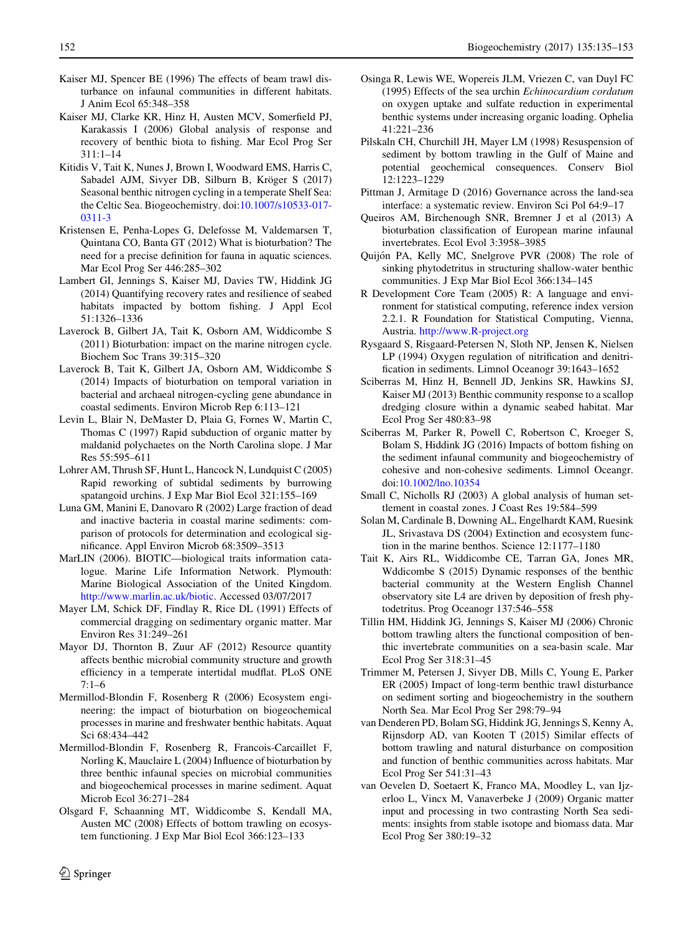- <span id="page-17-0"></span>Kaiser MJ, Spencer BE (1996) The effects of beam trawl disturbance on infaunal communities in different habitats. J Anim Ecol 65:348–358
- Kaiser MJ, Clarke KR, Hinz H, Austen MCV, Somerfield PJ, Karakassis I (2006) Global analysis of response and recovery of benthic biota to fishing. Mar Ecol Prog Ser 311:1–14
- Kitidis V, Tait K, Nunes J, Brown I, Woodward EMS, Harris C, Sabadel AJM, Sivyer DB, Silburn B, Kröger S (2017) Seasonal benthic nitrogen cycling in a temperate Shelf Sea: the Celtic Sea. Biogeochemistry. doi:[10.1007/s10533-017-](http://dx.doi.org/10.1007/s10533-017-0311-3) [0311-3](http://dx.doi.org/10.1007/s10533-017-0311-3)
- Kristensen E, Penha-Lopes G, Delefosse M, Valdemarsen T, Quintana CO, Banta GT (2012) What is bioturbation? The need for a precise definition for fauna in aquatic sciences. Mar Ecol Prog Ser 446:285–302
- Lambert GI, Jennings S, Kaiser MJ, Davies TW, Hiddink JG (2014) Quantifying recovery rates and resilience of seabed habitats impacted by bottom fishing. J Appl Ecol 51:1326–1336
- Laverock B, Gilbert JA, Tait K, Osborn AM, Widdicombe S (2011) Bioturbation: impact on the marine nitrogen cycle. Biochem Soc Trans 39:315–320
- Laverock B, Tait K, Gilbert JA, Osborn AM, Widdicombe S (2014) Impacts of bioturbation on temporal variation in bacterial and archaeal nitrogen-cycling gene abundance in coastal sediments. Environ Microb Rep 6:113–121
- Levin L, Blair N, DeMaster D, Plaia G, Fornes W, Martin C, Thomas C (1997) Rapid subduction of organic matter by maldanid polychaetes on the North Carolina slope. J Mar Res 55:595–611
- Lohrer AM, Thrush SF, Hunt L, Hancock N, Lundquist C (2005) Rapid reworking of subtidal sediments by burrowing spatangoid urchins. J Exp Mar Biol Ecol 321:155–169
- Luna GM, Manini E, Danovaro R (2002) Large fraction of dead and inactive bacteria in coastal marine sediments: comparison of protocols for determination and ecological significance. Appl Environ Microb 68:3509–3513
- MarLIN (2006). BIOTIC—biological traits information catalogue. Marine Life Information Network. Plymouth: Marine Biological Association of the United Kingdom. [http://www.marlin.ac.uk/biotic.](http://www.marlin.ac.uk/biotic) Accessed 03/07/2017
- Mayer LM, Schick DF, Findlay R, Rice DL (1991) Effects of commercial dragging on sedimentary organic matter. Mar Environ Res 31:249–261
- Mayor DJ, Thornton B, Zuur AF (2012) Resource quantity affects benthic microbial community structure and growth efficiency in a temperate intertidal mudflat. PLoS ONE 7:1–6
- Mermillod-Blondin F, Rosenberg R (2006) Ecosystem engineering: the impact of bioturbation on biogeochemical processes in marine and freshwater benthic habitats. Aquat Sci 68:434–442
- Mermillod-Blondin F, Rosenberg R, Francois-Carcaillet F, Norling K, Mauclaire L (2004) Influence of bioturbation by three benthic infaunal species on microbial communities and biogeochemical processes in marine sediment. Aquat Microb Ecol 36:271–284
- Olsgard F, Schaanning MT, Widdicombe S, Kendall MA, Austen MC (2008) Effects of bottom trawling on ecosystem functioning. J Exp Mar Biol Ecol 366:123–133
- Osinga R, Lewis WE, Wopereis JLM, Vriezen C, van Duyl FC (1995) Effects of the sea urchin Echinocardium cordatum on oxygen uptake and sulfate reduction in experimental benthic systems under increasing organic loading. Ophelia 41:221–236
	- Pilskaln CH, Churchill JH, Mayer LM (1998) Resuspension of sediment by bottom trawling in the Gulf of Maine and potential geochemical consequences. Conserv Biol 12:1223–1229
	- Pittman J, Armitage D (2016) Governance across the land-sea interface: a systematic review. Environ Sci Pol 64:9–17
	- Queiros AM, Birchenough SNR, Bremner J et al (2013) A bioturbation classification of European marine infaunal invertebrates. Ecol Evol 3:3958–3985
	- Quijón PA, Kelly MC, Snelgrove PVR (2008) The role of sinking phytodetritus in structuring shallow-water benthic communities. J Exp Mar Biol Ecol 366:134–145
	- R Development Core Team (2005) R: A language and environment for statistical computing, reference index version 2.2.1. R Foundation for Statistical Computing, Vienna, Austria. <http://www.R-project.org>
	- Rysgaard S, Risgaard-Petersen N, Sloth NP, Jensen K, Nielsen LP (1994) Oxygen regulation of nitrification and denitrification in sediments. Limnol Oceanogr 39:1643–1652
	- Sciberras M, Hinz H, Bennell JD, Jenkins SR, Hawkins SJ, Kaiser MJ (2013) Benthic community response to a scallop dredging closure within a dynamic seabed habitat. Mar Ecol Prog Ser 480:83–98
	- Sciberras M, Parker R, Powell C, Robertson C, Kroeger S, Bolam S, Hiddink JG (2016) Impacts of bottom fishing on the sediment infaunal community and biogeochemistry of cohesive and non-cohesive sediments. Limnol Oceangr. doi[:10.1002/lno.10354](http://dx.doi.org/10.1002/lno.10354)
	- Small C, Nicholls RJ (2003) A global analysis of human settlement in coastal zones. J Coast Res 19:584–599
	- Solan M, Cardinale B, Downing AL, Engelhardt KAM, Ruesink JL, Srivastava DS (2004) Extinction and ecosystem function in the marine benthos. Science 12:1177–1180
	- Tait K, Airs RL, Widdicombe CE, Tarran GA, Jones MR, Wddicombe S (2015) Dynamic responses of the benthic bacterial community at the Western English Channel observatory site L4 are driven by deposition of fresh phytodetritus. Prog Oceanogr 137:546–558
	- Tillin HM, Hiddink JG, Jennings S, Kaiser MJ (2006) Chronic bottom trawling alters the functional composition of benthic invertebrate communities on a sea-basin scale. Mar Ecol Prog Ser 318:31–45
	- Trimmer M, Petersen J, Sivyer DB, Mills C, Young E, Parker ER (2005) Impact of long-term benthic trawl disturbance on sediment sorting and biogeochemistry in the southern North Sea. Mar Ecol Prog Ser 298:79–94
	- van Denderen PD, Bolam SG, Hiddink JG, Jennings S, Kenny A, Rijnsdorp AD, van Kooten T (2015) Similar effects of bottom trawling and natural disturbance on composition and function of benthic communities across habitats. Mar Ecol Prog Ser 541:31–43
	- van Oevelen D, Soetaert K, Franco MA, Moodley L, van Ijzerloo L, Vincx M, Vanaverbeke J (2009) Organic matter input and processing in two contrasting North Sea sediments: insights from stable isotope and biomass data. Mar Ecol Prog Ser 380:19–32